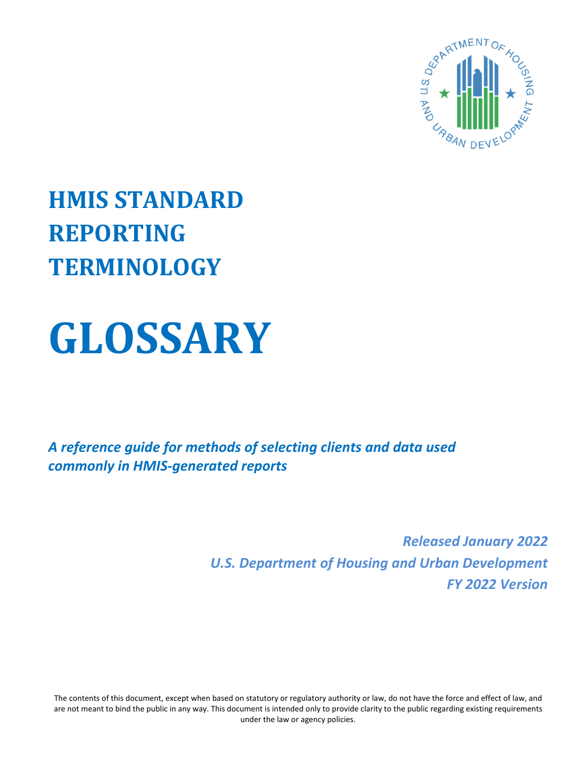

# **HMIS STANDARD REPORTING TERMINOLOGY**

# **GLOSSARY**

*A reference guide for methods of selecting clients and data used commonly in HMIS-generated reports*

> *Released January 2022 U.S. Department of Housing and Urban Development FY 2022 Version*

The contents of this document, except when based on statutory or regulatory authority or law, do not have the force and effect of law, and are not meant to bind the public in any way. This document is intended only to provide clarity to the public regarding existing requirements under the law or agency policies.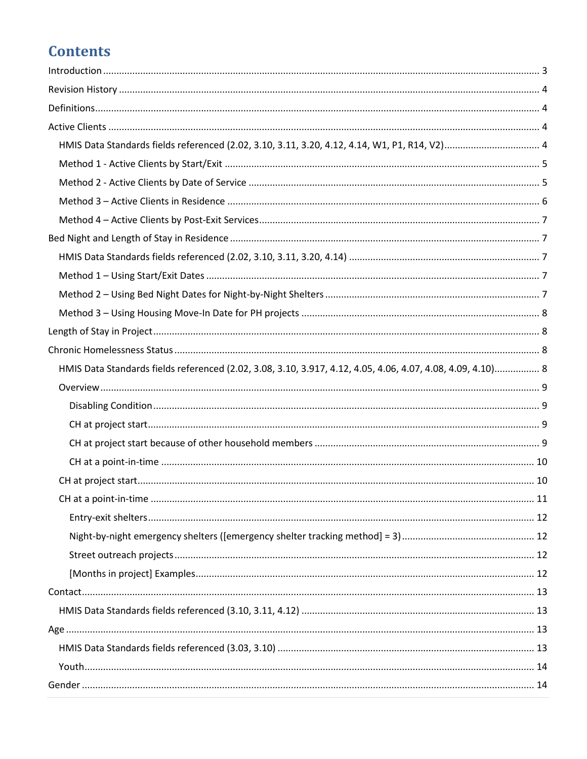# **Contents**

| HMIS Data Standards fields referenced (2.02, 3.10, 3.11, 3.20, 4.12, 4.14, W1, P1, R14, V2) 4               |  |
|-------------------------------------------------------------------------------------------------------------|--|
|                                                                                                             |  |
|                                                                                                             |  |
|                                                                                                             |  |
|                                                                                                             |  |
|                                                                                                             |  |
|                                                                                                             |  |
|                                                                                                             |  |
|                                                                                                             |  |
|                                                                                                             |  |
|                                                                                                             |  |
|                                                                                                             |  |
| HMIS Data Standards fields referenced (2.02, 3.08, 3.10, 3.917, 4.12, 4.05, 4.06, 4.07, 4.08, 4.09, 4.10) 8 |  |
|                                                                                                             |  |
|                                                                                                             |  |
|                                                                                                             |  |
|                                                                                                             |  |
|                                                                                                             |  |
|                                                                                                             |  |
|                                                                                                             |  |
|                                                                                                             |  |
|                                                                                                             |  |
|                                                                                                             |  |
|                                                                                                             |  |
|                                                                                                             |  |
|                                                                                                             |  |
|                                                                                                             |  |
|                                                                                                             |  |
|                                                                                                             |  |
|                                                                                                             |  |
|                                                                                                             |  |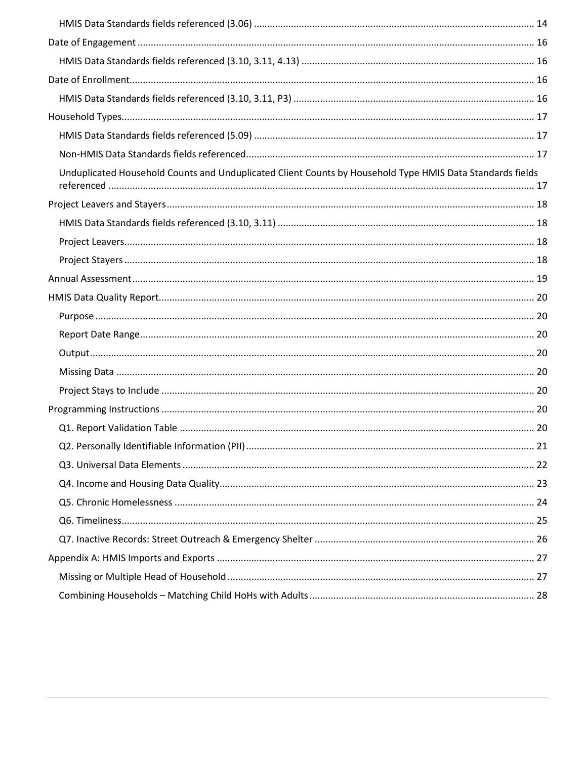| Unduplicated Household Counts and Unduplicated Client Counts by Household Type HMIS Data Standards fields |    |
|-----------------------------------------------------------------------------------------------------------|----|
|                                                                                                           |    |
|                                                                                                           |    |
|                                                                                                           |    |
|                                                                                                           |    |
|                                                                                                           |    |
|                                                                                                           |    |
|                                                                                                           |    |
|                                                                                                           |    |
|                                                                                                           |    |
|                                                                                                           |    |
|                                                                                                           |    |
|                                                                                                           |    |
|                                                                                                           |    |
|                                                                                                           | 21 |
|                                                                                                           |    |
|                                                                                                           |    |
|                                                                                                           |    |
|                                                                                                           |    |
|                                                                                                           |    |
|                                                                                                           |    |
|                                                                                                           |    |
|                                                                                                           |    |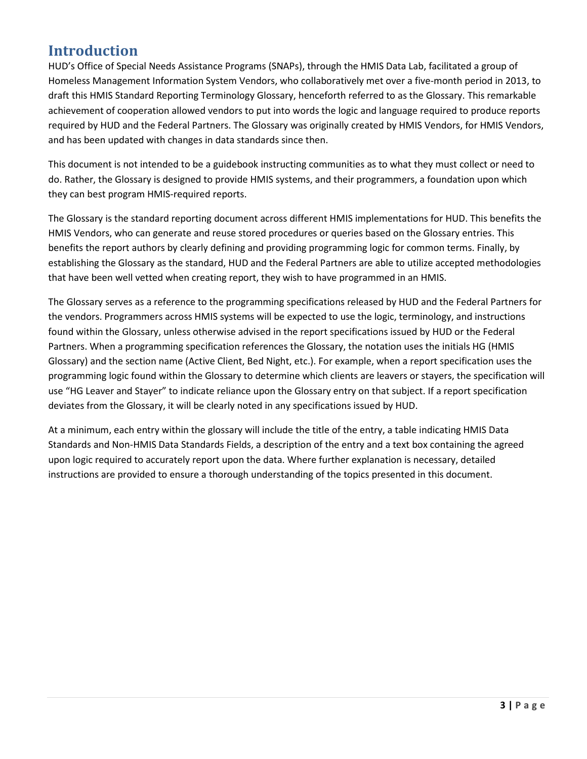# <span id="page-3-0"></span>**Introduction**

HUD's Office of Special Needs Assistance Programs (SNAPs), through the HMIS Data Lab, facilitated a group of Homeless Management Information System Vendors, who collaboratively met over a five-month period in 2013, to draft this HMIS Standard Reporting Terminology Glossary, henceforth referred to as the Glossary. This remarkable achievement of cooperation allowed vendors to put into words the logic and language required to produce reports required by HUD and the Federal Partners. The Glossary was originally created by HMIS Vendors, for HMIS Vendors, and has been updated with changes in data standards since then.

This document is not intended to be a guidebook instructing communities as to what they must collect or need to do. Rather, the Glossary is designed to provide HMIS systems, and their programmers, a foundation upon which they can best program HMIS-required reports.

The Glossary is the standard reporting document across different HMIS implementations for HUD. This benefits the HMIS Vendors, who can generate and reuse stored procedures or queries based on the Glossary entries. This benefits the report authors by clearly defining and providing programming logic for common terms. Finally, by establishing the Glossary as the standard, HUD and the Federal Partners are able to utilize accepted methodologies that have been well vetted when creating report, they wish to have programmed in an HMIS.

The Glossary serves as a reference to the programming specifications released by HUD and the Federal Partners for the vendors. Programmers across HMIS systems will be expected to use the logic, terminology, and instructions found within the Glossary, unless otherwise advised in the report specifications issued by HUD or the Federal Partners. When a programming specification references the Glossary, the notation uses the initials HG (HMIS Glossary) and the section name (Active Client, Bed Night, etc.). For example, when a report specification uses the programming logic found within the Glossary to determine which clients are leavers or stayers, the specification will use "HG Leaver and Stayer" to indicate reliance upon the Glossary entry on that subject. If a report specification deviates from the Glossary, it will be clearly noted in any specifications issued by HUD.

At a minimum, each entry within the glossary will include the title of the entry, a table indicating HMIS Data Standards and Non-HMIS Data Standards Fields, a description of the entry and a text box containing the agreed upon logic required to accurately report upon the data. Where further explanation is necessary, detailed instructions are provided to ensure a thorough understanding of the topics presented in this document.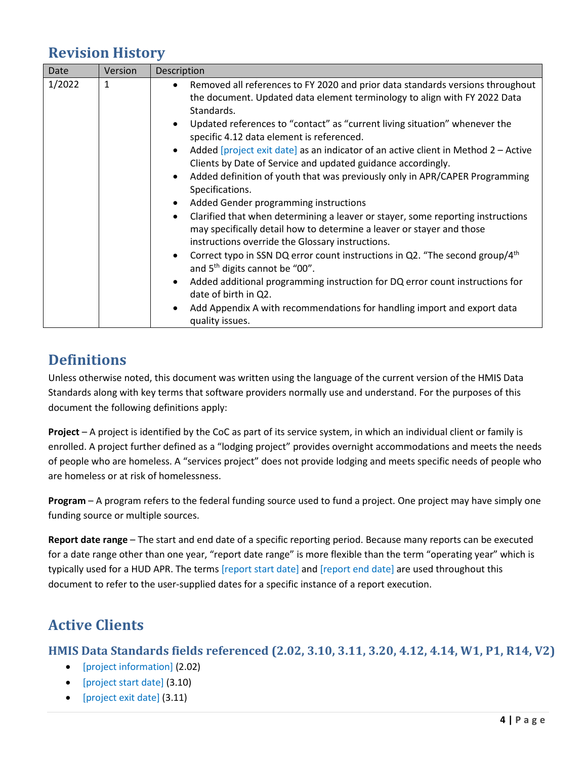# <span id="page-4-0"></span>**Revision History**

| Date<br>Version                                                                                                          | Description                                                                                                                                                                                                                                                                                                                                                                                                                                                                                                                                                                                                                                                                                                                                                                                                                                                                                                                                                                                                                                                                                                                                                  |
|--------------------------------------------------------------------------------------------------------------------------|--------------------------------------------------------------------------------------------------------------------------------------------------------------------------------------------------------------------------------------------------------------------------------------------------------------------------------------------------------------------------------------------------------------------------------------------------------------------------------------------------------------------------------------------------------------------------------------------------------------------------------------------------------------------------------------------------------------------------------------------------------------------------------------------------------------------------------------------------------------------------------------------------------------------------------------------------------------------------------------------------------------------------------------------------------------------------------------------------------------------------------------------------------------|
| 1/2022<br>1<br>٠<br>$\bullet$<br>$\bullet$<br>$\bullet$<br>$\bullet$<br>$\bullet$<br>$\bullet$<br>$\bullet$<br>$\bullet$ | Removed all references to FY 2020 and prior data standards versions throughout<br>the document. Updated data element terminology to align with FY 2022 Data<br>Standards.<br>Updated references to "contact" as "current living situation" whenever the<br>specific 4.12 data element is referenced.<br>Added [project exit date] as an indicator of an active client in Method 2 – Active<br>Clients by Date of Service and updated guidance accordingly.<br>Added definition of youth that was previously only in APR/CAPER Programming<br>Specifications.<br>Added Gender programming instructions<br>Clarified that when determining a leaver or stayer, some reporting instructions<br>may specifically detail how to determine a leaver or stayer and those<br>instructions override the Glossary instructions.<br>Correct typo in SSN DQ error count instructions in Q2. "The second group/ $4th$<br>and 5 <sup>th</sup> digits cannot be "00".<br>Added additional programming instruction for DQ error count instructions for<br>date of birth in Q2.<br>Add Appendix A with recommendations for handling import and export data<br>quality issues. |

# <span id="page-4-1"></span>**Definitions**

Unless otherwise noted, this document was written using the language of the current version of the HMIS Data Standards along with key terms that software providers normally use and understand. For the purposes of this document the following definitions apply:

**Project** – A project is identified by the CoC as part of its service system, in which an individual client or family is enrolled. A project further defined as a "lodging project" provides overnight accommodations and meets the needs of people who are homeless. A "services project" does not provide lodging and meets specific needs of people who are homeless or at risk of homelessness.

**Program** – A program refers to the federal funding source used to fund a project. One project may have simply one funding source or multiple sources.

**Report date range** – The start and end date of a specific reporting period. Because many reports can be executed for a date range other than one year, "report date range" is more flexible than the term "operating year" which is typically used for a HUD APR. The terms [report start date] and [report end date] are used throughout this document to refer to the user-supplied dates for a specific instance of a report execution.

# <span id="page-4-2"></span>**Active Clients**

<span id="page-4-3"></span>**HMIS Data Standards fields referenced (2.02, 3.10, 3.11, 3.20, 4.12, 4.14, W1, P1, R14, V2)** 

- [project information] (2.02)
- [project start date] (3.10)
- [project exit date] (3.11)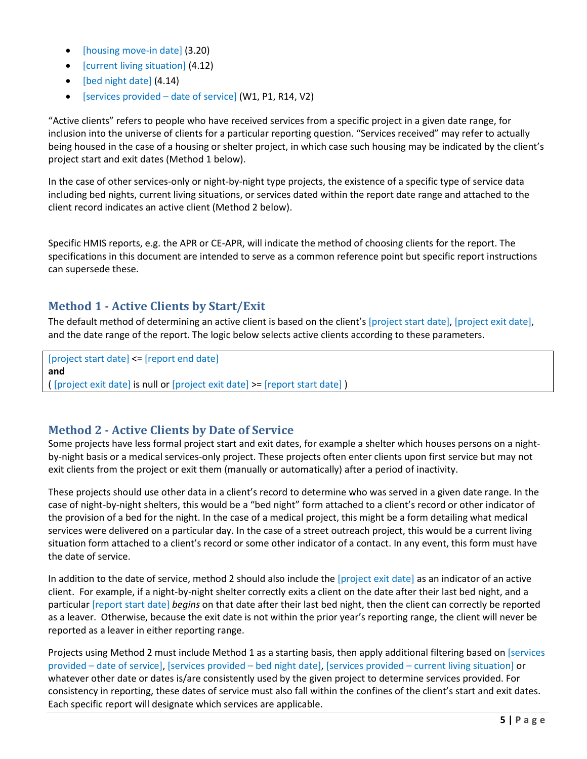- [housing move-in date] (3.20)
- [current living situation] (4.12)
- [bed night date] (4.14)
- [services provided date of service] (W1, P1, R14, V2)

"Active clients" refers to people who have received services from a specific project in a given date range, for inclusion into the universe of clients for a particular reporting question. "Services received" may refer to actually being housed in the case of a housing or shelter project, in which case such housing may be indicated by the client's project start and exit dates (Method 1 below).

In the case of other services-only or night-by-night type projects, the existence of a specific type of service data including bed nights, current living situations, or services dated within the report date range and attached to the client record indicates an active client (Method 2 below).

Specific HMIS reports, e.g. the APR or CE-APR, will indicate the method of choosing clients for the report. The specifications in this document are intended to serve as a common reference point but specific report instructions can supersede these.

## <span id="page-5-0"></span>**Method 1 - Active Clients by Start/Exit**

The default method of determining an active client is based on the client's [project start date], [project exit date], and the date range of the report. The logic below selects active clients according to these parameters.

[project start date] <= [report end date] **and**  ( [project exit date] is null or [project exit date] >= [report start date] )

## <span id="page-5-1"></span>**Method 2 - Active Clients by Date of Service**

Some projects have less formal project start and exit dates, for example a shelter which houses persons on a nightby-night basis or a medical services-only project. These projects often enter clients upon first service but may not exit clients from the project or exit them (manually or automatically) after a period of inactivity.

These projects should use other data in a client's record to determine who was served in a given date range. In the case of night-by-night shelters, this would be a "bed night" form attached to a client's record or other indicator of the provision of a bed for the night. In the case of a medical project, this might be a form detailing what medical services were delivered on a particular day. In the case of a street outreach project, this would be a current living situation form attached to a client's record or some other indicator of a contact. In any event, this form must have the date of service.

In addition to the date of service, method 2 should also include the [project exit date] as an indicator of an active client. For example, if a night-by-night shelter correctly exits a client on the date after their last bed night, and a particular [report start date] *begins* on that date after their last bed night, then the client can correctly be reported as a leaver. Otherwise, because the exit date is not within the prior year's reporting range, the client will never be reported as a leaver in either reporting range.

Projects using Method 2 must include Method 1 as a starting basis, then apply additional filtering based on [services provided – date of service], [services provided – bed night date], [services provided – current living situation] or whatever other date or dates is/are consistently used by the given project to determine services provided. For consistency in reporting, these dates of service must also fall within the confines of the client's start and exit dates. Each specific report will designate which services are applicable.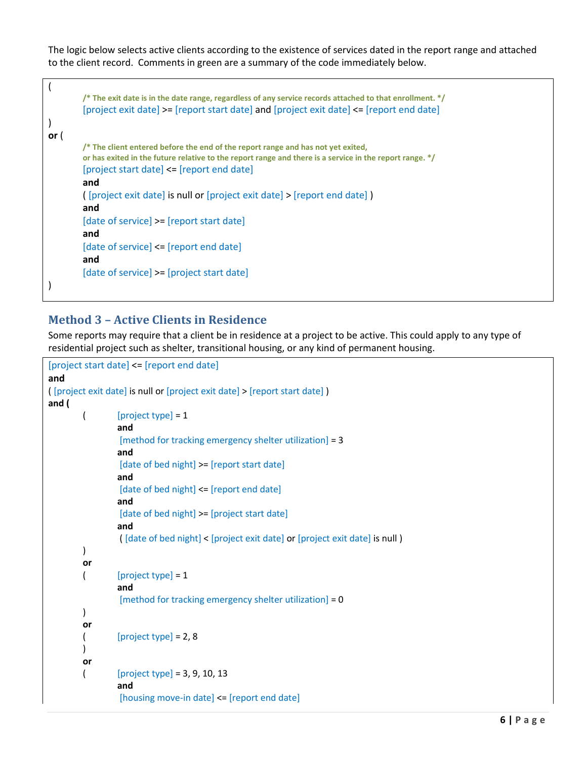The logic below selects active clients according to the existence of services dated in the report range and attached to the client record. Comments in green are a summary of the code immediately below.

```
( 
         /* The exit date is in the date range, regardless of any service records attached to that enrollment. */
         [project exit date] >= [report start date] and [project exit date] <= [report end date]
) 
or ( 
         /* The client entered before the end of the report range and has not yet exited, 
         or has exited in the future relative to the report range and there is a service in the report range. */
         [project start date] <= [report end date]
         and 
         ( [project exit date] is null or [project exit date] > [report end date] ) 
         and
         [date of service] >= [report start date]
         and
         [date of service] <= [report end date]
         and
         [date of service] >= [project start date]
)
```
## <span id="page-6-0"></span>**Method 3 – Active Clients in Residence**

Some reports may require that a client be in residence at a project to be active. This could apply to any type of residential project such as shelter, transitional housing, or any kind of permanent housing.

```
[project start date] <= [report end date]
and 
( [project exit date] is null or [project exit date] > [report start date] ) 
and (
        \left( [project type] = 1
                 and
                  [method for tracking emergency shelter utilization] = 3
                 and
                  [date of bed night] >= [report start date]
                 and
                  [date of bed night] <= [report end date]
                 and
                  [date of bed night] >= [project start date]
                 and
                  ( [date of bed night] < [project exit date] or [project exit date] is null ) 
        ) 
        or
        \left( [project type] = 1
                  and
                  [method for tracking emergency shelter utilization] = 0
        ) 
        or
        \left( [project type] = 2, 8
        ) 
        or
        \left( \text{project type} \right] = 3, 9, 10, 13and
                  [housing move-in date] <= [report end date]
```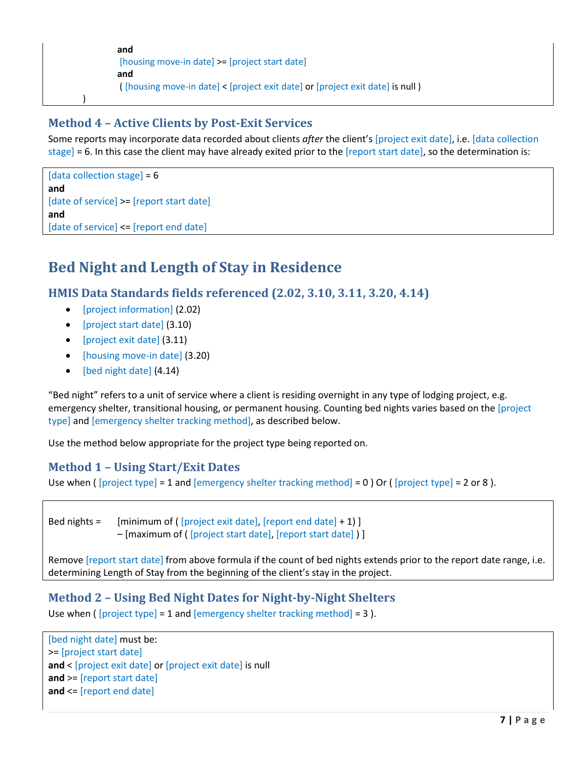```
and 
[housing move-in date] >= [project start date]
and
( [housing move-in date] < [project exit date] or [project exit date] is null )
```
## <span id="page-7-0"></span>**Method 4 – Active Clients by Post-Exit Services**

Some reports may incorporate data recorded about clients *after* the client's [project exit date], i.e. [data collection stage] = 6. In this case the client may have already exited prior to the [report start date], so the determination is:

```
[data collection stage] = 6and
[date of service] >= [report start date]
and
[date of service] <= [report end date]
```
)

# <span id="page-7-1"></span>**Bed Night and Length of Stay in Residence**

<span id="page-7-2"></span>**HMIS Data Standards fields referenced (2.02, 3.10, 3.11, 3.20, 4.14)** 

- [project information] (2.02)
- [project start date] (3.10)
- [project exit date] (3.11)
- [housing move-in date] (3.20)
- [bed night date] (4.14)

"Bed night" refers to a unit of service where a client is residing overnight in any type of lodging project, e.g. emergency shelter, transitional housing, or permanent housing. Counting bed nights varies based on the [project type] and [emergency shelter tracking method], as described below.

Use the method below appropriate for the project type being reported on.

## <span id="page-7-3"></span>**Method 1 – Using Start/Exit Dates**

Use when ( [project type] = 1 and [emergency shelter tracking method] = 0 ) Or ( [project type] = 2 or 8 ).

Bed nights = [minimum of ( [project exit date], [report end date] + 1) ] – [maximum of ( [project start date], [report start date] ) ]

Remove [report start date] from above formula if the count of bed nights extends prior to the report date range, i.e. determining Length of Stay from the beginning of the client's stay in the project.

#### <span id="page-7-4"></span>**Method 2 – Using Bed Night Dates for Night-by-Night Shelters**

Use when ( [project type] = 1 and [emergency shelter tracking method] = 3 ).

```
[bed night date] must be:
>= [project start date]
and < [project exit date] or [project exit date] is null
and >= [report start date]
and <= [report end date]
```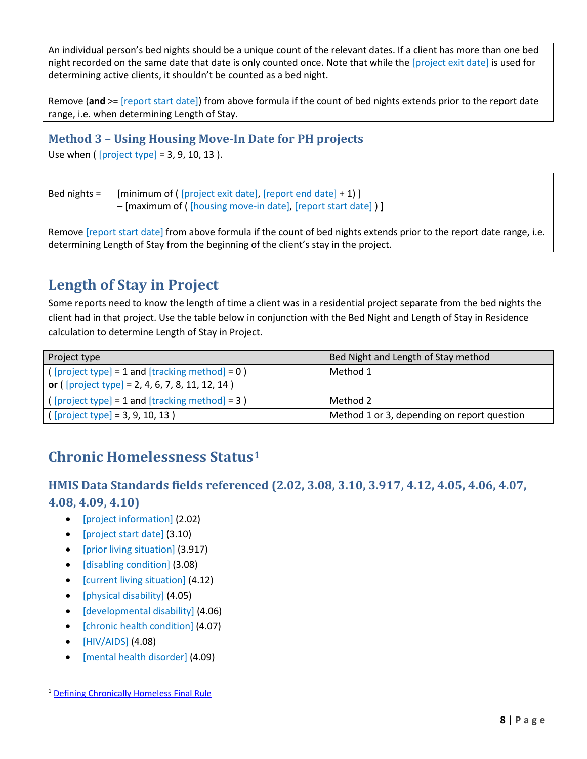An individual person's bed nights should be a unique count of the relevant dates. If a client has more than one bed night recorded on the same date that date is only counted once. Note that while the [project exit date] is used for determining active clients, it shouldn't be counted as a bed night.

Remove (**and** >= [report start date]) from above formula if the count of bed nights extends prior to the report date range, i.e. when determining Length of Stay.

# <span id="page-8-0"></span>**Method 3 – Using Housing Move-In Date for PH projects**

Use when ( [project type] = 3, 9, 10, 13 ).

Bed nights =  $[minimum of (project exit date], [report end date] + 1)]$ – [maximum of ( [housing move-in date], [report start date] ) ]

Remove [report start date] from above formula if the count of bed nights extends prior to the report date range, i.e. determining Length of Stay from the beginning of the client's stay in the project.

# <span id="page-8-1"></span>**Length of Stay in Project**

Some reports need to know the length of time a client was in a residential project separate from the bed nights the client had in that project. Use the table below in conjunction with the Bed Night and Length of Stay in Residence calculation to determine Length of Stay in Project.

| Project type                                                                                              | Bed Night and Length of Stay method         |
|-----------------------------------------------------------------------------------------------------------|---------------------------------------------|
| $(project type] = 1$ and $[tracking method] = 0$ )<br>or ( $[project type] = 2, 4, 6, 7, 8, 11, 12, 14$ ) | Method 1                                    |
| $(project type] = 1$ and $[tracking method] = 3$ )                                                        | Method 2                                    |
| $(project type] = 3, 9, 10, 13)$                                                                          | Method 1 or 3, depending on report question |

# <span id="page-8-2"></span>**Chronic Homelessness Status[1](#page-8-4)**

# <span id="page-8-3"></span>**HMIS Data Standards fields referenced (2.02, 3.08, 3.10, 3.917, 4.12, 4.05, 4.06, 4.07, 4.08, 4.09, 4.10)**

- [project information] (2.02)
- [project start date] (3.10)
- [prior living situation] (3.917)
- [disabling condition] (3.08)
- [current living situation] (4.12)
- [physical disability] (4.05)
- [developmental disability] (4.06)
- [chronic health condition] (4.07)
- [HIV/AIDS] (4.08)
- [mental health disorder] (4.09)

<span id="page-8-4"></span><sup>1</sup> [Defining Chronically Homeless Final Rule](https://www.hudexchange.info/resources/documents/Defining-Chronically-Homeless-Final-Rule.pdf)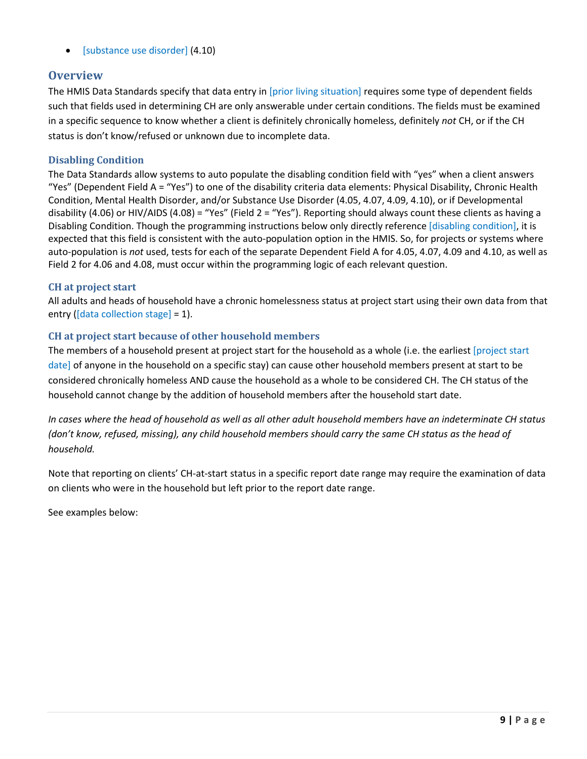• [substance use disorder] (4.10)

## <span id="page-9-0"></span>**Overview**

The HMIS Data Standards specify that data entry in [prior living situation] requires some type of dependent fields such that fields used in determining CH are only answerable under certain conditions. The fields must be examined in a specific sequence to know whether a client is definitely chronically homeless, definitely *not* CH, or if the CH status is don't know/refused or unknown due to incomplete data.

#### <span id="page-9-1"></span>**Disabling Condition**

The Data Standards allow systems to auto populate the disabling condition field with "yes" when a client answers "Yes" (Dependent Field A = "Yes") to one of the disability criteria data elements: Physical Disability, Chronic Health Condition, Mental Health Disorder, and/or Substance Use Disorder (4.05, 4.07, 4.09, 4.10), or if Developmental disability (4.06) or HIV/AIDS (4.08) = "Yes" (Field 2 = "Yes"). Reporting should always count these clients as having a Disabling Condition. Though the programming instructions below only directly reference [disabling condition], it is expected that this field is consistent with the auto-population option in the HMIS. So, for projects or systems where auto-population is *not* used, tests for each of the separate Dependent Field A for 4.05, 4.07, 4.09 and 4.10, as well as Field 2 for 4.06 and 4.08, must occur within the programming logic of each relevant question.

#### <span id="page-9-2"></span>**CH at project start**

All adults and heads of household have a chronic homelessness status at project start using their own data from that entry ([data collection stage] = 1).

#### <span id="page-9-3"></span>**CH at project start because of other household members**

The members of a household present at project start for the household as a whole (i.e. the earliest [project start] date] of anyone in the household on a specific stay) can cause other household members present at start to be considered chronically homeless AND cause the household as a whole to be considered CH. The CH status of the household cannot change by the addition of household members after the household start date.

*In cases where the head of household as well as all other adult household members have an indeterminate CH status (don't know, refused, missing), any child household members should carry the same CH status as the head of household.*

Note that reporting on clients' CH-at-start status in a specific report date range may require the examination of data on clients who were in the household but left prior to the report date range.

See examples below: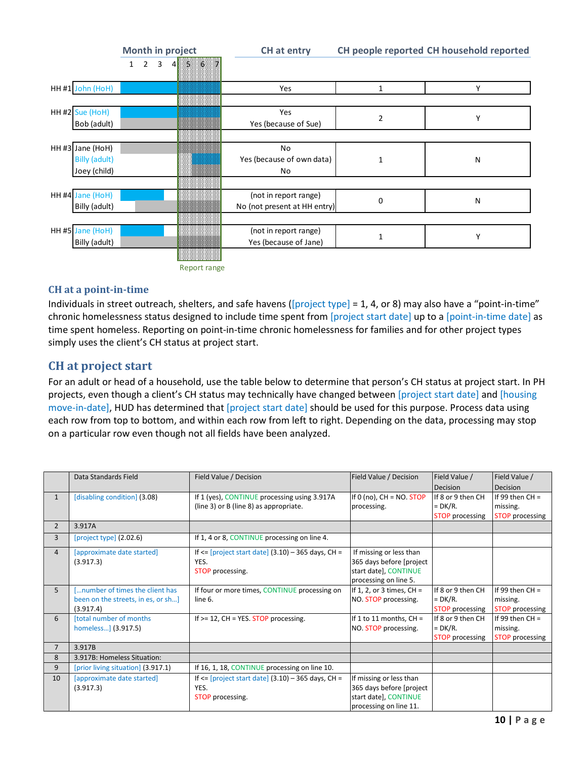|                      |   | Month in project |             |                          | CH at entry                  |             | CH people reported CH household reported |
|----------------------|---|------------------|-------------|--------------------------|------------------------------|-------------|------------------------------------------|
|                      | 1 |                  | $2 \quad 3$ | $4 \quad 5 \quad 6$<br>₩ |                              |             |                                          |
| HH #1 John (HoH)     |   |                  |             |                          | Yes                          | 1           | Υ                                        |
|                      |   |                  |             |                          |                              |             |                                          |
| HH #2 Sue (HoH)      |   |                  |             |                          | Yes                          | 2           | Υ                                        |
| Bob (adult)          |   |                  |             |                          | Yes (because of Sue)         |             |                                          |
|                      |   |                  |             |                          |                              |             |                                          |
| HH #3 Jane (HoH)     |   |                  |             |                          | No                           |             |                                          |
| <b>Billy (adult)</b> |   |                  |             |                          | Yes (because of own data)    | $\mathbf 1$ | N                                        |
| Joey (child)         |   |                  |             |                          | No                           |             |                                          |
|                      |   |                  |             |                          |                              |             |                                          |
| HH #4 Jane (HoH)     |   |                  |             |                          | (not in report range)        | 0           | N                                        |
| Billy (adult)        |   |                  |             |                          | No (not present at HH entry) |             |                                          |
|                      |   |                  |             |                          |                              |             |                                          |
| HH #5 Jane (HoH)     |   |                  |             |                          | (not in report range)        | 1           | Υ                                        |
| Billy (adult)        |   |                  |             |                          | Yes (because of Jane)        |             |                                          |
|                      |   |                  |             |                          |                              |             |                                          |
|                      |   |                  |             | Report range             |                              |             |                                          |

#### <span id="page-10-0"></span>**CH at a point-in-time**

Individuals in street outreach, shelters, and safe havens ([project type] = 1, 4, or 8) may also have a "point-in-time" chronic homelessness status designed to include time spent from [project start date] up to a [point-in-time date] as time spent homeless. Reporting on point-in-time chronic homelessness for families and for other project types simply uses the client's CH status at project start.

## <span id="page-10-1"></span>**CH at project start**

For an adult or head of a household, use the table below to determine that person's CH status at project start. In PH projects, even though a client's CH status may technically have changed between [project start date] and [housing move-in-date], HUD has determined that [project start date] should be used for this purpose. Process data using each row from top to bottom, and within each row from left to right. Depending on the data, processing may stop on a particular row even though not all fields have been analyzed.

|                | Data Standards Field               | Field Value / Decision                                  | Field Value / Decision       | Field Value /          | Field Value /          |
|----------------|------------------------------------|---------------------------------------------------------|------------------------------|------------------------|------------------------|
|                |                                    |                                                         |                              | Decision               | Decision               |
| $\mathbf{1}$   | [disabling condition] (3.08)       | If 1 (yes), CONTINUE processing using 3.917A            | If $0$ (no), $CH = NO. STOP$ | If 8 or 9 then CH      | If 99 then $CH =$      |
|                |                                    | (line 3) or B (line 8) as appropriate.                  | processing.                  | $= DK/R.$              | missing.               |
|                |                                    |                                                         |                              | <b>STOP</b> processing | <b>STOP</b> processing |
| $\overline{2}$ | 3.917A                             |                                                         |                              |                        |                        |
| $\overline{3}$ | [project type] (2.02.6)            | If 1, 4 or 8, CONTINUE processing on line 4.            |                              |                        |                        |
| $\overline{4}$ | [approximate date started]         | If $\le$ [project start date] (3.10) – 365 days, CH =   | If missing or less than      |                        |                        |
|                | (3.917.3)                          | YES.                                                    | 365 days before [project]    |                        |                        |
|                |                                    | STOP processing.                                        | start date], CONTINUE        |                        |                        |
|                |                                    |                                                         | processing on line 5.        |                        |                        |
| 5 <sup>5</sup> | number of times the client has     | If four or more times, CONTINUE processing on           | If 1, 2, or 3 times, $CH =$  | If 8 or 9 then CH      | If 99 then $CH =$      |
|                | been on the streets, in es, or sh] | line 6.                                                 | NO. STOP processing.         | $= DK/R.$              | missing.               |
|                | (3.917.4)                          |                                                         |                              | <b>STOP</b> processing | <b>STOP</b> processing |
| 6              | <b>[total number of months]</b>    | If $>= 12$ , CH = YES. STOP processing.                 | If 1 to 11 months, $CH =$    | If 8 or 9 then CH      | If 99 then $CH =$      |
|                | homeless] (3.917.5)                |                                                         | NO. STOP processing.         | $= DK/R.$              | missing.               |
|                |                                    |                                                         |                              | <b>STOP</b> processing | <b>STOP</b> processing |
| $\overline{7}$ | 3.917B                             |                                                         |                              |                        |                        |
| 8              | 3.917B: Homeless Situation:        |                                                         |                              |                        |                        |
| 9              | [prior living situation] (3.917.1) | If 16, 1, 18, CONTINUE processing on line 10.           |                              |                        |                        |
| 10             | [approximate date started]         | If $\le$ [project start date] $(3.10)$ – 365 days, CH = | If missing or less than      |                        |                        |
|                | (3.917.3)                          | YES.                                                    | 365 days before [project     |                        |                        |
|                |                                    | STOP processing.                                        | start date], CONTINUE        |                        |                        |
|                |                                    |                                                         | processing on line 11.       |                        |                        |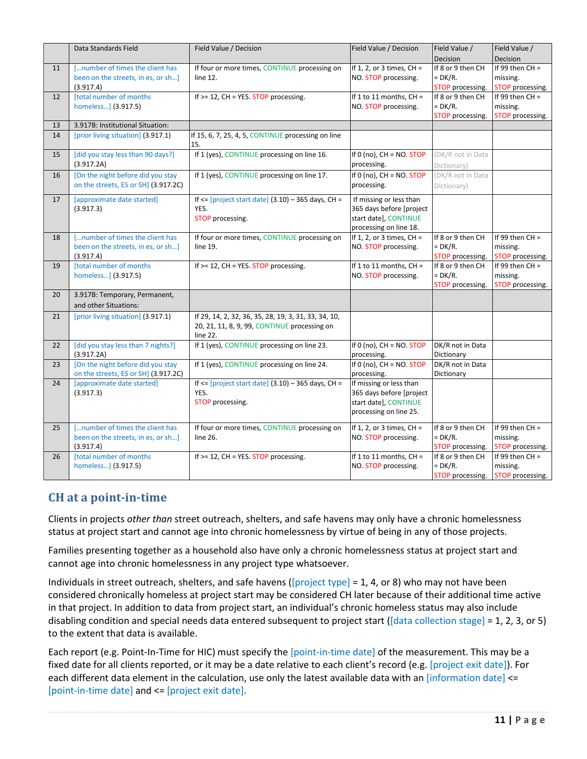|    | Data Standards Field                 | Field Value / Decision                                        | Field Value / Decision                            | Field Value /                 | Field Value /                |
|----|--------------------------------------|---------------------------------------------------------------|---------------------------------------------------|-------------------------------|------------------------------|
|    |                                      |                                                               |                                                   | Decision                      | Decision                     |
| 11 | [number of times the client has      | If four or more times, CONTINUE processing on                 | If 1, 2, or 3 times, $CH =$                       | If 8 or 9 then CH             | If 99 then $CH =$            |
|    | been on the streets, in es, or sh]   | line 12.                                                      | NO. STOP processing.                              | $= DK/R.$                     | missing.                     |
|    | (3.917.4)                            |                                                               |                                                   | STOP processing.              | STOP processing.             |
| 12 | [total number of months              | If $>= 12$ , CH = YES. STOP processing.                       | If 1 to 11 months, $CH =$                         | If 8 or 9 then CH             | If 99 then $CH =$            |
|    | homeless] (3.917.5)                  |                                                               | NO. STOP processing.                              | $= DK/R.$                     | missing.                     |
|    |                                      |                                                               |                                                   | <b>STOP</b> processing.       | STOP processing.             |
| 13 | 3.917B: Institutional Situation:     |                                                               |                                                   |                               |                              |
| 14 | [prior living situation] (3.917.1)   | If 15, 6, 7, 25, 4, 5, CONTINUE processing on line<br>15.     |                                                   |                               |                              |
| 15 | [did you stay less than 90 days?]    | If 1 (yes), CONTINUE processing on line 16.                   | If $0$ (no), $CH = NO. STOP$                      | (DK/R not in Data             |                              |
|    | (3.917.2A)                           |                                                               | processing.                                       | Dictionary)                   |                              |
| 16 | [On the night before did you stay    | If 1 (yes), CONTINUE processing on line 17.                   | If 0 (no), $CH = NO. STOP$                        | (DK/R not in Data             |                              |
|    | on the streets, ES or SH (3.917.2C)  |                                                               | processing.                                       | Dictionary)                   |                              |
|    |                                      |                                                               |                                                   |                               |                              |
| 17 | [approximate date started]           | If $\le$ [project start date] (3.10) - 365 days, CH =         | If missing or less than                           |                               |                              |
|    | (3.917.3)                            | YES.                                                          | 365 days before [project                          |                               |                              |
|    |                                      | STOP processing.                                              | start date], CONTINUE                             |                               |                              |
|    |                                      |                                                               | processing on line 18.                            |                               |                              |
| 18 | [number of times the client has      | If four or more times, CONTINUE processing on                 | If 1, 2, or 3 times, $CH =$                       | If 8 or 9 then CH             | If 99 then $CH =$            |
|    | been on the streets, in es, or sh]   | line 19.                                                      | NO. STOP processing.                              | $= DK/R.$                     | missing.                     |
|    | (3.917.4)                            |                                                               |                                                   | STOP processing.              | STOP processing.             |
| 19 | [total number of months              | If $>= 12$ , CH = YES. STOP processing.                       | If 1 to 11 months, $CH =$                         | If 8 or 9 then CH             | If 99 then $CH =$            |
|    | homeless] (3.917.5)                  |                                                               | NO. STOP processing.                              | $= DK/R.$<br>STOP processing. | missing.<br>STOP processing. |
|    |                                      |                                                               |                                                   |                               |                              |
| 20 | 3.917B: Temporary, Permanent,        |                                                               |                                                   |                               |                              |
|    | and other Situations:                |                                                               |                                                   |                               |                              |
| 21 | [prior living situation] (3.917.1)   | If 29, 14, 2, 32, 36, 35, 28, 19, 3, 31, 33, 34, 10,          |                                                   |                               |                              |
|    |                                      | 20, 21, 11, 8, 9, 99, CONTINUE processing on                  |                                                   |                               |                              |
|    |                                      | line 22.                                                      |                                                   |                               |                              |
| 22 | [did you stay less than 7 nights?]   | If 1 (yes), CONTINUE processing on line 23.                   | If $0$ (no), $CH = NO. STOP$                      | DK/R not in Data              |                              |
|    | (3.917.2A)                           |                                                               | processing.                                       | Dictionary                    |                              |
| 23 | [On the night before did you stay    | If 1 (yes), CONTINUE processing on line 24.                   | If 0 (no), $CH = NO. STOP$                        | DK/R not in Data              |                              |
| 24 | on the streets, ES or SH] (3.917.2C) |                                                               | processing.                                       | Dictionary                    |                              |
|    | [approximate date started]           | If $\le$ [project start date] (3.10) - 365 days, CH =<br>YES. | If missing or less than                           |                               |                              |
|    | (3.917.3)                            |                                                               | 365 days before [project<br>start date], CONTINUE |                               |                              |
|    |                                      | STOP processing.                                              | processing on line 25.                            |                               |                              |
|    |                                      |                                                               |                                                   |                               |                              |
| 25 | [number of times the client has      | If four or more times, CONTINUE processing on                 | If 1, 2, or 3 times, $CH =$                       | If 8 or 9 then CH             | If 99 then $CH =$            |
|    | been on the streets, in es, or sh]   | line 26.                                                      | NO. STOP processing.                              | $= DK/R.$                     | missing.                     |
|    | (3.917.4)                            |                                                               |                                                   | STOP processing.              | STOP processing.             |
| 26 | [total number of months              | If $>= 12$ , CH = YES. STOP processing.                       | If 1 to 11 months, $CH =$                         | If 8 or 9 then CH             | If 99 then $CH =$            |
|    | homeless] (3.917.5)                  |                                                               | NO. STOP processing.                              | $= DK/R.$                     | missing.                     |
|    |                                      |                                                               |                                                   | STOP processing.              | STOP processing.             |

# <span id="page-11-0"></span>**CH at a point-in-time**

Clients in projects *other than* street outreach, shelters, and safe havens may only have a chronic homelessness status at project start and cannot age into chronic homelessness by virtue of being in any of those projects.

Families presenting together as a household also have only a chronic homelessness status at project start and cannot age into chronic homelessness in any project type whatsoever.

Individuals in street outreach, shelters, and safe havens ([project type] = 1, 4, or 8) who may not have been considered chronically homeless at project start may be considered CH later because of their additional time active in that project. In addition to data from project start, an individual's chronic homeless status may also include disabling condition and special needs data entered subsequent to project start ( $[data$  collection stage] = 1, 2, 3, or 5) to the extent that data is available.

Each report (e.g. Point-In-Time for HIC) must specify the [point-in-time date] of the measurement. This may be a fixed date for all clients reported, or it may be a date relative to each client's record (e.g. [project exit date]). For each different data element in the calculation, use only the latest available data with an [information date] <= [point-in-time date] and <= [project exit date].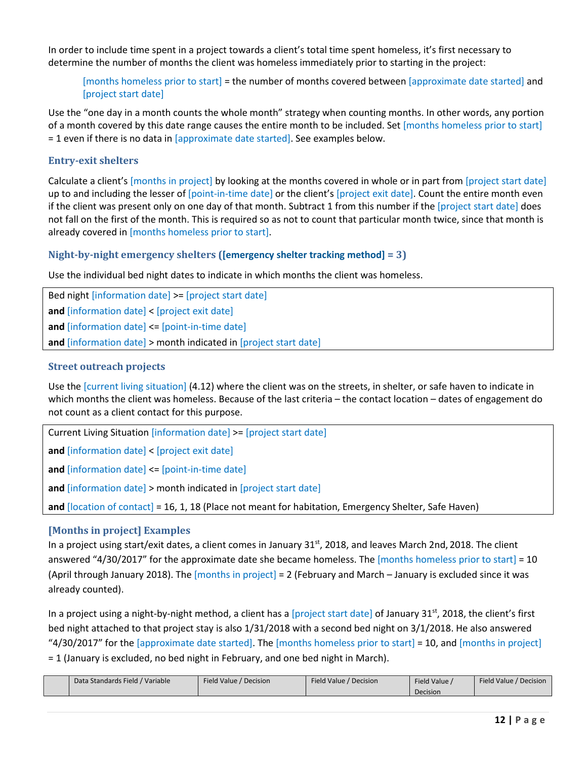In order to include time spent in a project towards a client's total time spent homeless, it's first necessary to determine the number of months the client was homeless immediately prior to starting in the project:

[months homeless prior to start] = the number of months covered between [approximate date started] and [project start date]

Use the "one day in a month counts the whole month" strategy when counting months. In other words, any portion of a month covered by this date range causes the entire month to be included. Set [months homeless prior to start] = 1 even if there is no data in [approximate date started]. See examples below.

#### <span id="page-12-0"></span>**Entry-exit shelters**

Calculate a client's [months in project] by looking at the months covered in whole or in part from [project start date] up to and including the lesser of [point-in-time date] or the client's [project exit date]. Count the entire month even if the client was present only on one day of that month. Subtract 1 from this number if the [project start date] does not fall on the first of the month. This is required so as not to count that particular month twice, since that month is already covered in [months homeless prior to start].

#### <span id="page-12-1"></span>**Night-by-night emergency shelters ([emergency shelter tracking method] = 3)**

Use the individual bed night dates to indicate in which months the client was homeless.

Bed night [information date] >= [project start date] **and** [information date] < [project exit date] **and** [information date] <= [point-in-time date] **and** [information date] > month indicated in [project start date]

#### <span id="page-12-2"></span>**Street outreach projects**

Use the [current living situation] (4.12) where the client was on the streets, in shelter, or safe haven to indicate in which months the client was homeless. Because of the last criteria – the contact location – dates of engagement do not count as a client contact for this purpose.

Current Living Situation [information date] >= [project start date]

**and** [information date] < [project exit date]

**and** [information date] <= [point-in-time date]

**and** [information date] > month indicated in [project start date]

**and** [location of contact] = 16, 1, 18 (Place not meant for habitation, Emergency Shelter, Safe Haven)

#### <span id="page-12-3"></span>**[Months in project] Examples**

In a project using start/exit dates, a client comes in January 31<sup>st</sup>, 2018, and leaves March 2nd, 2018. The client answered "4/30/2017" for the approximate date she became homeless. The [months homeless prior to start] = 10 (April through January 2018). The [months in project] = 2 (February and March – January is excluded since it was already counted).

In a project using a night-by-night method, a client has a [project start date] of January 31<sup>st</sup>, 2018, the client's first bed night attached to that project stay is also 1/31/2018 with a second bed night on 3/1/2018. He also answered "4/30/2017" for the [approximate date started]. The [months homeless prior to start] = 10, and [months in project] = 1 (January is excluded, no bed night in February, and one bed night in March).

| Data Standards Field / Variable | Field Value / Decision | Field Value / Decision | Field Value | Field Value / Decision |
|---------------------------------|------------------------|------------------------|-------------|------------------------|
|                                 |                        |                        | Decision    |                        |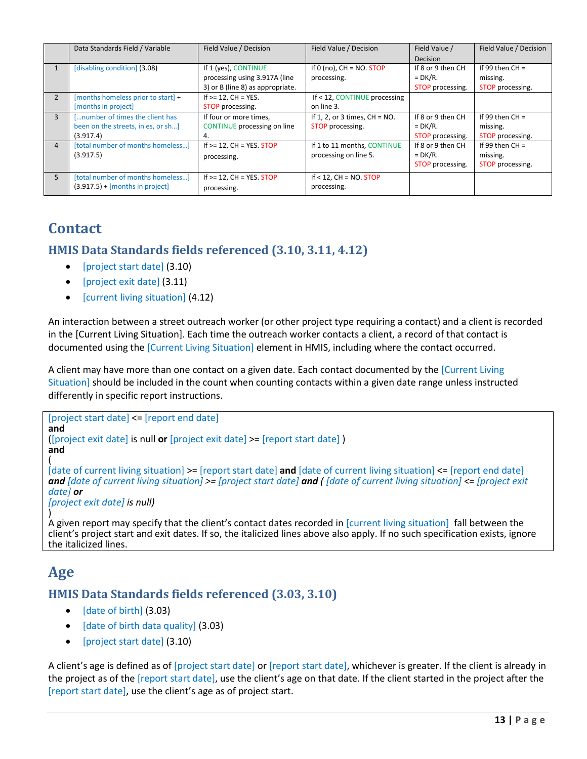|                | Data Standards Field / Variable    | Field Value / Decision             | Field Value / Decision           | Field Value /     | Field Value / Decision |
|----------------|------------------------------------|------------------------------------|----------------------------------|-------------------|------------------------|
|                |                                    |                                    |                                  | <b>Decision</b>   |                        |
| $\mathbf{1}$   | [disabling condition] (3.08)       | If 1 (yes), CONTINUE               | If $0$ (no), $CH = NO. STOP$     | If 8 or 9 then CH | If 99 then $CH =$      |
|                |                                    | processing using 3.917A (line      | processing.                      | $= DK/R.$         | missing.               |
|                |                                    | 3) or B (line 8) as appropriate.   |                                  | STOP processing.  | STOP processing.       |
| 2              | [months homeless prior to start] + | If $>= 12$ . CH = YES.             | If < 12, CONTINUE processing     |                   |                        |
|                | [months in project]                | STOP processing.                   | on line 3.                       |                   |                        |
| $\overline{3}$ | number of times the client has     | If four or more times,             | If 1, 2, or 3 times, $CH = NO$ . | If 8 or 9 then CH | If 99 then $CH =$      |
|                | been on the streets, in es, or sh] | <b>CONTINUE</b> processing on line | STOP processing.                 | $= DK/R.$         | missing.               |
|                | (3.917.4)                          | 4.                                 |                                  | STOP processing.  | STOP processing.       |
| $\overline{4}$ | [total number of months homeless]  | If $>= 12$ , CH = YES. STOP        | If 1 to 11 months, CONTINUE      | If 8 or 9 then CH | If 99 then $CH =$      |
|                | (3.917.5)                          | processing.                        | processing on line 5.            | $= DK/R.$         | missing.               |
|                |                                    |                                    |                                  | STOP processing.  | STOP processing.       |
| 5 <sup>5</sup> | [total number of months homeless]  | If $>= 12$ , CH = YES. STOP        | If $<$ 12, CH = NO. STOP         |                   |                        |
|                | $(3.917.5) + [months in project]$  | processing.                        | processing.                      |                   |                        |

# <span id="page-13-0"></span>**Contact**

## <span id="page-13-1"></span>**HMIS Data Standards fields referenced (3.10, 3.11, 4.12)**

- [project start date] (3.10)
- [project exit date] (3.11)
- [current living situation] (4.12)

An interaction between a street outreach worker (or other project type requiring a contact) and a client is recorded in the [Current Living Situation]. Each time the outreach worker contacts a client, a record of that contact is documented using the [Current Living Situation] element in HMIS, including where the contact occurred.

A client may have more than one contact on a given date. Each contact documented by the [Current Living Situation] should be included in the count when counting contacts within a given date range unless instructed differently in specific report instructions.

```
[project start date] <= [report end date]
and 
([project exit date] is null or [project exit date] >= [report start date] ) 
and
( 
[date of current living situation] >= [report start date] and [date of current living situation] <= [report end date]
and [date of current living situation] >= [project start date] and ( [date of current living situation] <= [project exit 
date] or 
[project exit date] is null)
)
```
A given report may specify that the client's contact dates recorded in [current living situation] fall between the client's project start and exit dates. If so, the italicized lines above also apply. If no such specification exists, ignore the italicized lines.

# <span id="page-13-2"></span>**Age**

## <span id="page-13-3"></span>**HMIS Data Standards fields referenced (3.03, 3.10)**

- [date of birth] (3.03)
- [date of birth data quality] (3.03)
- [project start date] (3.10)

A client's age is defined as of [project start date] or [report start date], whichever is greater. If the client is already in the project as of the [report start date], use the client's age on that date. If the client started in the project after the [report start date], use the client's age as of project start.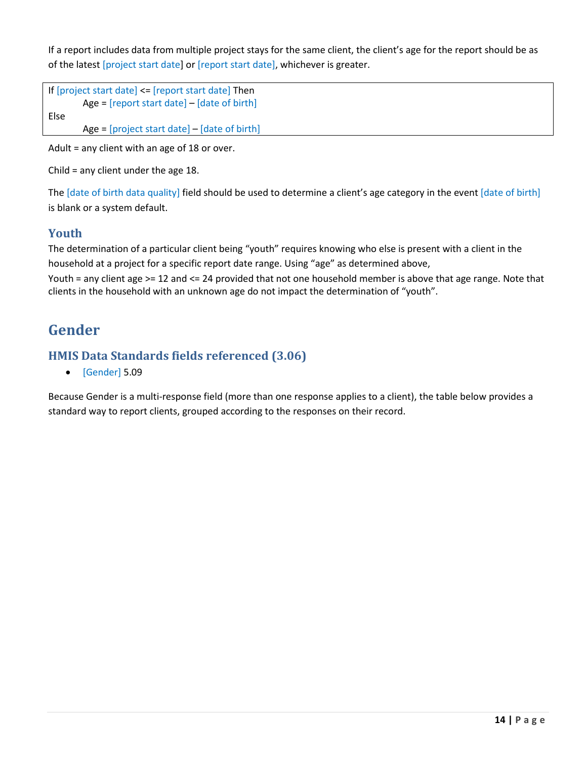If a report includes data from multiple project stays for the same client, the client's age for the report should be as of the latest [project start date] or [report start date], whichever is greater.

```
If [project start date] <= [report start date] Then 
        Age = [report start date] – [date of birth]
Else 
        Age = [project start date] – [date of birth]
```
Adult = any client with an age of 18 or over.

Child = any client under the age 18.

The [date of birth data quality] field should be used to determine a client's age category in the event [date of birth] is blank or a system default.

## <span id="page-14-0"></span>**Youth**

The determination of a particular client being "youth" requires knowing who else is present with a client in the household at a project for a specific report date range. Using "age" as determined above,

Youth = any client age >= 12 and <= 24 provided that not one household member is above that age range. Note that clients in the household with an unknown age do not impact the determination of "youth".

# <span id="page-14-1"></span>**Gender**

# <span id="page-14-2"></span>**HMIS Data Standards fields referenced (3.06)**

• [Gender] 5.09

Because Gender is a multi-response field (more than one response applies to a client), the table below provides a standard way to report clients, grouped according to the responses on their record.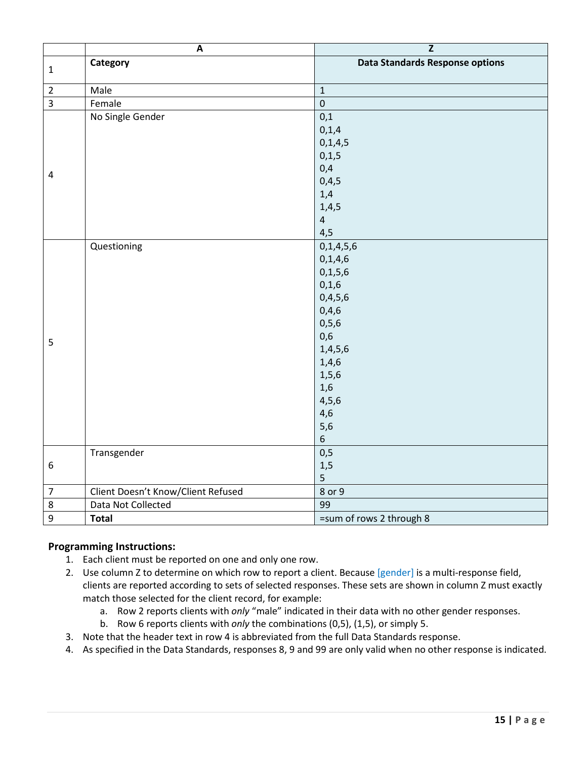|                  | $\boldsymbol{\mathsf{A}}$          | $\overline{z}$                         |
|------------------|------------------------------------|----------------------------------------|
|                  | Category                           | <b>Data Standards Response options</b> |
| $\mathbf{1}$     |                                    |                                        |
| $\overline{2}$   | Male                               | $\mathbf{1}$                           |
| $\overline{3}$   | Female                             | $\mathbf 0$                            |
|                  | No Single Gender                   | 0,1                                    |
|                  |                                    | 0, 1, 4                                |
|                  |                                    | 0, 1, 4, 5                             |
|                  |                                    | 0, 1, 5                                |
|                  |                                    | 0,4                                    |
| $\pmb{4}$        |                                    | 0,4,5                                  |
|                  |                                    | 1,4                                    |
|                  |                                    | 1,4,5                                  |
|                  |                                    | $\overline{4}$                         |
|                  |                                    | 4,5                                    |
|                  | Questioning                        | 0, 1, 4, 5, 6                          |
|                  |                                    | 0, 1, 4, 6                             |
|                  |                                    | 0, 1, 5, 6                             |
|                  |                                    | 0,1,6                                  |
|                  |                                    | 0,4,5,6                                |
|                  |                                    | 0,4,6                                  |
|                  |                                    | 0, 5, 6                                |
| 5                |                                    | 0,6                                    |
|                  |                                    | 1,4,5,6                                |
|                  |                                    | 1,4,6                                  |
|                  |                                    | 1, 5, 6                                |
|                  |                                    | 1,6                                    |
|                  |                                    | 4, 5, 6                                |
|                  |                                    | 4,6                                    |
|                  |                                    | 5,6                                    |
|                  |                                    | $\sqrt{6}$                             |
|                  | Transgender                        | 0,5                                    |
| $\boldsymbol{6}$ |                                    | 1,5                                    |
|                  |                                    | $\overline{5}$                         |
| $\overline{7}$   | Client Doesn't Know/Client Refused | 8 or 9                                 |
| $\,8\,$          | Data Not Collected                 | 99                                     |
| $\boldsymbol{9}$ | <b>Total</b>                       | =sum of rows 2 through 8               |

#### **Programming Instructions:**

- 1. Each client must be reported on one and only one row.
- 2. Use column Z to determine on which row to report a client. Because [gender] is a multi-response field, clients are reported according to sets of selected responses. These sets are shown in column Z must exactly match those selected for the client record, for example:
	- a. Row 2 reports clients with *only* "male" indicated in their data with no other gender responses.
	- b. Row 6 reports clients with *only* the combinations (0,5), (1,5), or simply 5.
- 3. Note that the header text in row 4 is abbreviated from the full Data Standards response.
- 4. As specified in the Data Standards, responses 8, 9 and 99 are only valid when no other response is indicated.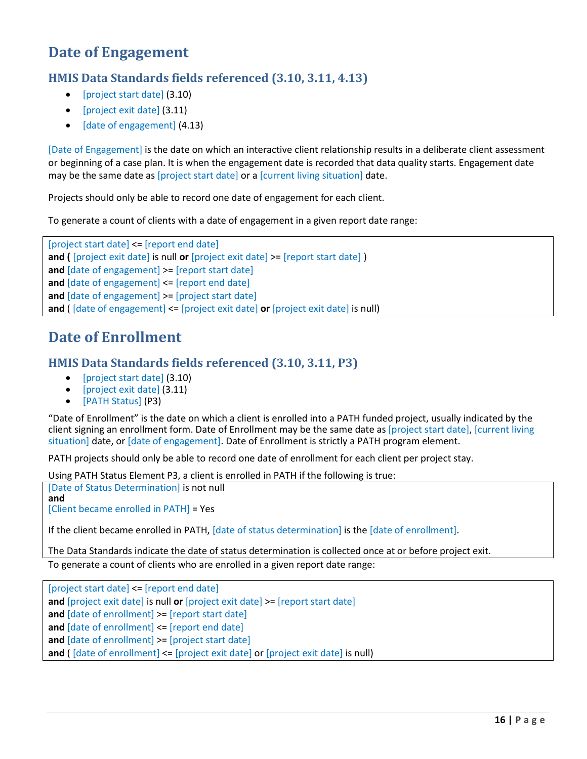# <span id="page-16-0"></span>**Date of Engagement**

# <span id="page-16-1"></span>**HMIS Data Standards fields referenced (3.10, 3.11, 4.13)**

- [project start date] (3.10)
- [project exit date] (3.11)
- [date of engagement] (4.13)

[Date of Engagement] is the date on which an interactive client relationship results in a deliberate client assessment or beginning of a case plan. It is when the engagement date is recorded that data quality starts. Engagement date may be the same date as [project start date] or a [current living situation] date.

Projects should only be able to record one date of engagement for each client.

To generate a count of clients with a date of engagement in a given report date range:

[project start date] <= [report end date] **and (** [project exit date] is null **or** [project exit date] >= [report start date] ) **and** [date of engagement] >= [report start date] **and** [date of engagement] <= [report end date] **and** [date of engagement] >= [project start date] **and** ( [date of engagement] <= [project exit date] **or** [project exit date] is null)

# <span id="page-16-2"></span>**Date of Enrollment**

## <span id="page-16-3"></span>**HMIS Data Standards fields referenced (3.10, 3.11, P3)**

- [project start date] (3.10)
- [project exit date] (3.11)
- [PATH Status] (P3)

"Date of Enrollment" is the date on which a client is enrolled into a PATH funded project, usually indicated by the client signing an enrollment form. Date of Enrollment may be the same date as [project start date], [current living situation] date, or [date of engagement]. Date of Enrollment is strictly a PATH program element.

PATH projects should only be able to record one date of enrollment for each client per project stay.

Using PATH Status Element P3, a client is enrolled in PATH if the following is true:

[Date of Status Determination] is not null **and**  [Client became enrolled in PATH] = Yes

If the client became enrolled in PATH, [date of status determination] is the [date of enrollment].

The Data Standards indicate the date of status determination is collected once at or before project exit. To generate a count of clients who are enrolled in a given report date range:

[project start date] <= [report end date] **and** [project exit date] is null **or** [project exit date] >= [report start date] **and** [date of enrollment] >= [report start date] **and** [date of enrollment] <= [report end date]

**and** [date of enrollment] >= [project start date]

**and** ( [date of enrollment] <= [project exit date] or [project exit date] is null)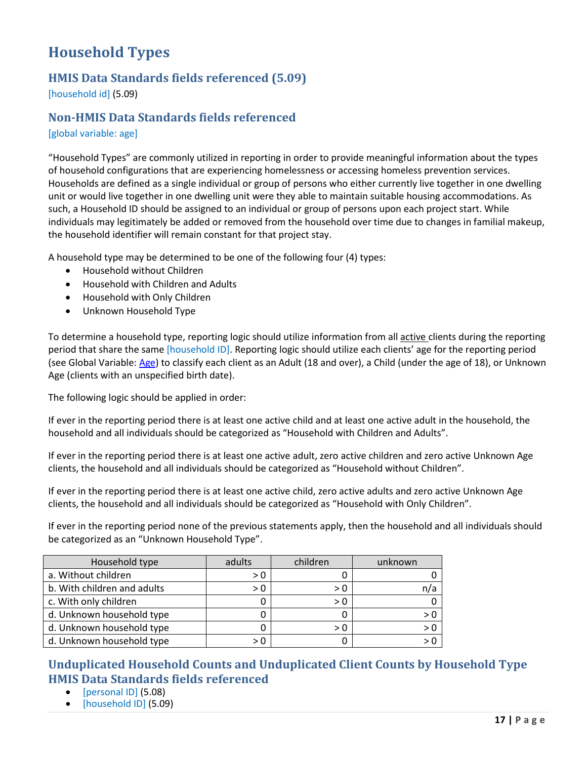# <span id="page-17-0"></span>**Household Types**

# <span id="page-17-1"></span>**HMIS Data Standards fields referenced (5.09)**

[household id] (5.09)

## <span id="page-17-2"></span>**Non-HMIS Data Standards fields referenced**

#### [global variable: age]

"Household Types" are commonly utilized in reporting in order to provide meaningful information about the types of household configurations that are experiencing homelessness or accessing homeless prevention services. Households are defined as a single individual or group of persons who either currently live together in one dwelling unit or would live together in one dwelling unit were they able to maintain suitable housing accommodations. As such, a Household ID should be assigned to an individual or group of persons upon each project start. While individuals may legitimately be added or removed from the household over time due to changes in familial makeup, the household identifier will remain constant for that project stay.

A household type may be determined to be one of the following four (4) types:

- Household without Children
- Household with Children and Adults
- Household with Only Children
- Unknown Household Type

To determine a household type, reporting logic should utilize information from all active clients during the reporting period that share the same [household ID]. Reporting logic should utilize each clients' age for the reporting period (see Global Variable: [Age\)](#page-13-2) to classify each client as an Adult (18 and over), a Child (under the age of 18), or Unknown Age (clients with an unspecified birth date).

The following logic should be applied in order:

If ever in the reporting period there is at least one active child and at least one active adult in the household, the household and all individuals should be categorized as "Household with Children and Adults".

If ever in the reporting period there is at least one active adult, zero active children and zero active Unknown Age clients, the household and all individuals should be categorized as "Household without Children".

If ever in the reporting period there is at least one active child, zero active adults and zero active Unknown Age clients, the household and all individuals should be categorized as "Household with Only Children".

If ever in the reporting period none of the previous statements apply, then the household and all individuals should be categorized as an "Unknown Household Type".

| Household type              | adults | children | unknown |
|-----------------------------|--------|----------|---------|
| a. Without children         | > 0    |          |         |
| b. With children and adults | > 0    | > 0      | n/a     |
| c. With only children       |        | > 0      |         |
| d. Unknown household type   |        |          | > 0     |
| d. Unknown household type   |        | > 0      |         |
| d. Unknown household type   | > N    |          |         |

# <span id="page-17-3"></span>**Unduplicated Household Counts and Unduplicated Client Counts by Household Type HMIS Data Standards fields referenced**

- [personal ID] (5.08)
- [household ID] (5.09)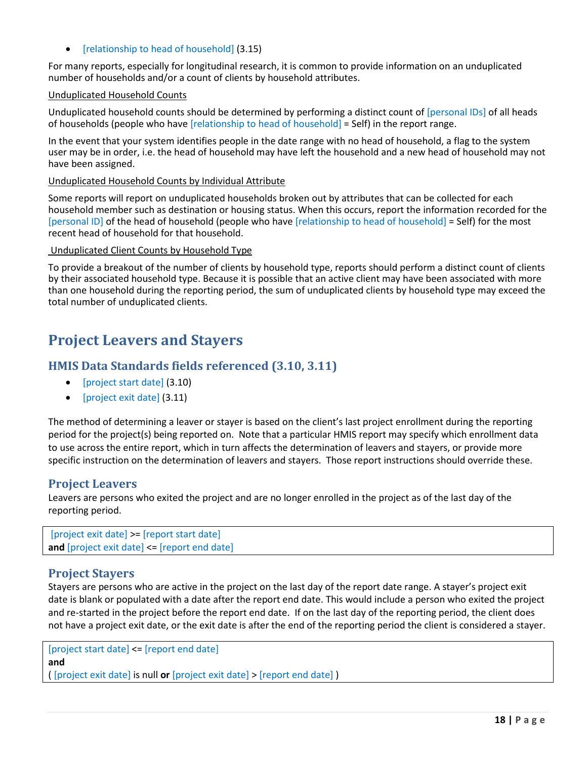• [relationship to head of household] (3.15)

For many reports, especially for longitudinal research, it is common to provide information on an unduplicated number of households and/or a count of clients by household attributes.

#### Unduplicated Household Counts

Unduplicated household counts should be determined by performing a distinct count of [personal IDs] of all heads of households (people who have [relationship to head of household] = Self) in the report range.

In the event that your system identifies people in the date range with no head of household, a flag to the system user may be in order, i.e. the head of household may have left the household and a new head of household may not have been assigned.

Unduplicated Household Counts by Individual Attribute

Some reports will report on unduplicated households broken out by attributes that can be collected for each household member such as destination or housing status. When this occurs, report the information recorded for the [personal ID] of the head of household (people who have [relationship to head of household] = Self) for the most recent head of household for that household.

#### Unduplicated Client Counts by Household Type

To provide a breakout of the number of clients by household type, reports should perform a distinct count of clients by their associated household type. Because it is possible that an active client may have been associated with more than one household during the reporting period, the sum of unduplicated clients by household type may exceed the total number of unduplicated clients.

# <span id="page-18-0"></span>**Project Leavers and Stayers**

#### <span id="page-18-1"></span>**HMIS Data Standards fields referenced (3.10, 3.11)**

- [project start date] (3.10)
- [project exit date] (3.11)

The method of determining a leaver or stayer is based on the client's last project enrollment during the reporting period for the project(s) being reported on. Note that a particular HMIS report may specify which enrollment data to use across the entire report, which in turn affects the determination of leavers and stayers, or provide more specific instruction on the determination of leavers and stayers. Those report instructions should override these.

#### <span id="page-18-2"></span>**Project Leavers**

Leavers are persons who exited the project and are no longer enrolled in the project as of the last day of the reporting period.

```
[project exit date] >= [report start date]
and [project exit date] <= [report end date]
```
#### <span id="page-18-3"></span>**Project Stayers**

Stayers are persons who are active in the project on the last day of the report date range. A stayer's project exit date is blank or populated with a date after the report end date. This would include a person who exited the project and re-started in the project before the report end date. If on the last day of the reporting period, the client does not have a project exit date, or the exit date is after the end of the reporting period the client is considered a stayer.

[project start date] <= [report end date] **and**  ( [project exit date] is null **or** [project exit date] > [report end date] )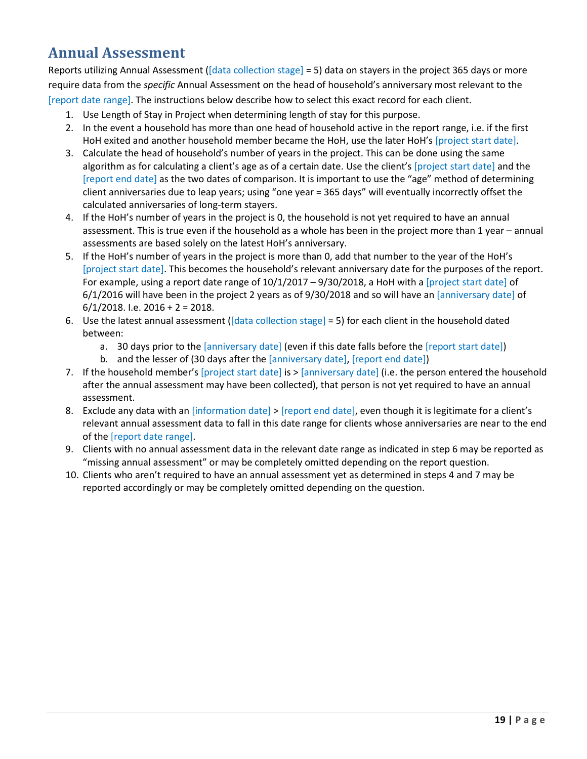# <span id="page-19-0"></span>**Annual Assessment**

Reports utilizing Annual Assessment ([data collection stage] = 5) data on stayers in the project 365 days or more require data from the *specific* Annual Assessment on the head of household's anniversary most relevant to the [report date range]. The instructions below describe how to select this exact record for each client.

- 1. Use Length of Stay in Project when determining length of stay for this purpose.
- 2. In the event a household has more than one head of household active in the report range, i.e. if the first HoH exited and another household member became the HoH, use the later HoH's [project start date].
- 3. Calculate the head of household's number of years in the project. This can be done using the same algorithm as for calculating a client's age as of a certain date. Use the client's [project start date] and the [report end date] as the two dates of comparison. It is important to use the "age" method of determining client anniversaries due to leap years; using "one year = 365 days" will eventually incorrectly offset the calculated anniversaries of long-term stayers.
- 4. If the HoH's number of years in the project is 0, the household is not yet required to have an annual assessment. This is true even if the household as a whole has been in the project more than 1 year – annual assessments are based solely on the latest HoH's anniversary.
- 5. If the HoH's number of years in the project is more than 0, add that number to the year of the HoH's [project start date]. This becomes the household's relevant anniversary date for the purposes of the report. For example, using a report date range of 10/1/2017 – 9/30/2018, a HoH with a [project start date] of 6/1/2016 will have been in the project 2 years as of 9/30/2018 and so will have an [anniversary date] of  $6/1/2018$ . I.e.  $2016 + 2 = 2018$ .
- 6. Use the latest annual assessment ([data collection stage] = 5) for each client in the household dated between:
	- a. 30 days prior to the [anniversary date] (even if this date falls before the [report start date])
	- b. and the lesser of (30 days after the [anniversary date], [report end date])
- 7. If the household member's [project start date] is  $>$  [anniversary date] (i.e. the person entered the household after the annual assessment may have been collected), that person is not yet required to have an annual assessment.
- 8. Exclude any data with an [information date] > [report end date], even though it is legitimate for a client's relevant annual assessment data to fall in this date range for clients whose anniversaries are near to the end of the [report date range].
- 9. Clients with no annual assessment data in the relevant date range as indicated in step 6 may be reported as "missing annual assessment" or may be completely omitted depending on the report question.
- 10. Clients who aren't required to have an annual assessment yet as determined in steps 4 and 7 may be reported accordingly or may be completely omitted depending on the question.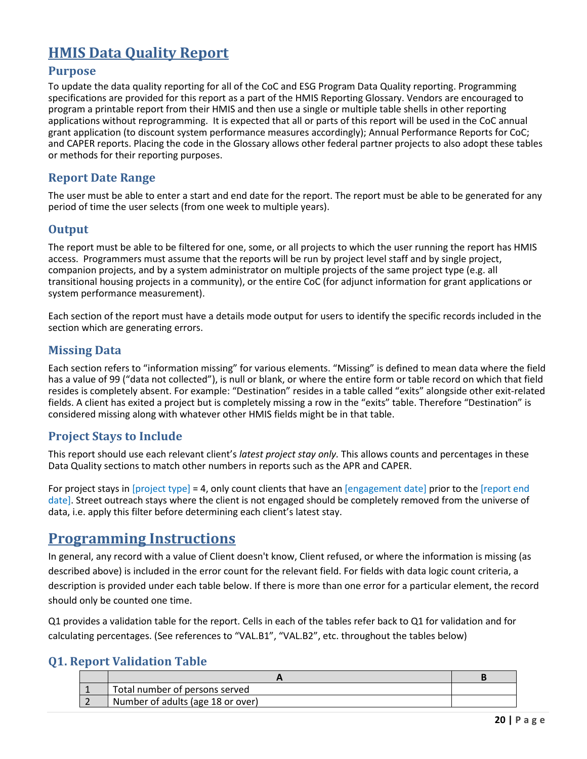# <span id="page-20-0"></span>**HMIS Data Quality Report**

#### <span id="page-20-1"></span>**Purpose**

To update the data quality reporting for all of the CoC and ESG Program Data Quality reporting. Programming specifications are provided for this report as a part of the HMIS Reporting Glossary. Vendors are encouraged to program a printable report from their HMIS and then use a single or multiple table shells in other reporting applications without reprogramming. It is expected that all or parts of this report will be used in the CoC annual grant application (to discount system performance measures accordingly); Annual Performance Reports for CoC; and CAPER reports. Placing the code in the Glossary allows other federal partner projects to also adopt these tables or methods for their reporting purposes.

## <span id="page-20-2"></span>**Report Date Range**

The user must be able to enter a start and end date for the report. The report must be able to be generated for any period of time the user selects (from one week to multiple years).

## <span id="page-20-3"></span>**Output**

The report must be able to be filtered for one, some, or all projects to which the user running the report has HMIS access. Programmers must assume that the reports will be run by project level staff and by single project, companion projects, and by a system administrator on multiple projects of the same project type (e.g. all transitional housing projects in a community), or the entire CoC (for adjunct information for grant applications or system performance measurement).

Each section of the report must have a details mode output for users to identify the specific records included in the section which are generating errors.

## <span id="page-20-4"></span>**Missing Data**

Each section refers to "information missing" for various elements. "Missing" is defined to mean data where the field has a value of 99 ("data not collected"), is null or blank, or where the entire form or table record on which that field resides is completely absent. For example: "Destination" resides in a table called "exits" alongside other exit-related fields. A client has exited a project but is completely missing a row in the "exits" table. Therefore "Destination" is considered missing along with whatever other HMIS fields might be in that table.

# <span id="page-20-5"></span>**Project Stays to Include**

This report should use each relevant client's *latest project stay only.* This allows counts and percentages in these Data Quality sections to match other numbers in reports such as the APR and CAPER.

For project stays in [project type] = 4, only count clients that have an [engagement date] prior to the [report end date]. Street outreach stays where the client is not engaged should be completely removed from the universe of data, i.e. apply this filter before determining each client's latest stay.

# <span id="page-20-6"></span>**Programming Instructions**

In general, any record with a value of Client doesn't know, Client refused, or where the information is missing (as described above) is included in the error count for the relevant field. For fields with data logic count criteria, a description is provided under each table below. If there is more than one error for a particular element, the record should only be counted one time.

Q1 provides a validation table for the report. Cells in each of the tables refer back to Q1 for validation and for calculating percentages. (See references to "VAL.B1", "VAL.B2", etc. throughout the tables below)

## <span id="page-20-7"></span>**Q1. Report Validation Table**

| ⊿ Total number of persons served  |  |
|-----------------------------------|--|
| Number of adults (age 18 or over) |  |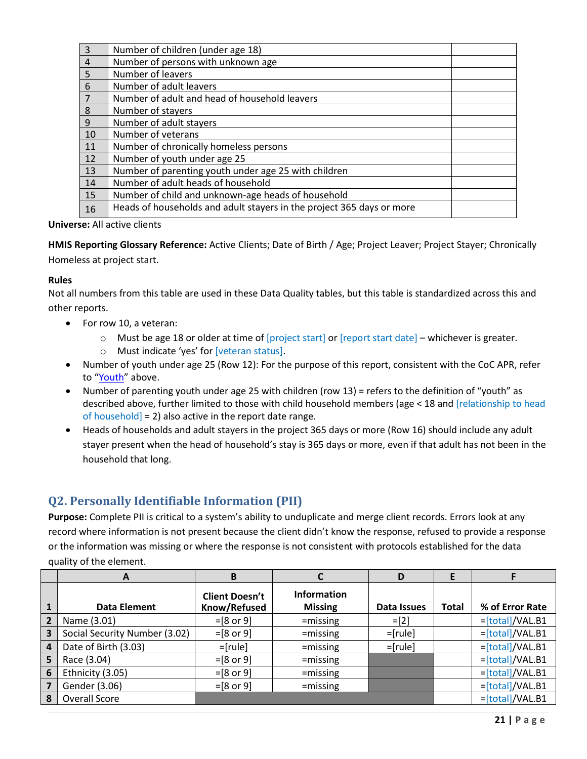| $\overline{\mathbf{3}}$ | Number of children (under age 18)                                     |  |
|-------------------------|-----------------------------------------------------------------------|--|
| $\overline{a}$          | Number of persons with unknown age                                    |  |
| 5                       | Number of leavers                                                     |  |
| $6\phantom{1}6$         | Number of adult leavers                                               |  |
| $\overline{7}$          | Number of adult and head of household leavers                         |  |
| $\boldsymbol{8}$        | Number of stayers                                                     |  |
| 9                       | Number of adult stayers                                               |  |
| 10                      | Number of veterans                                                    |  |
| 11                      | Number of chronically homeless persons                                |  |
| 12                      | Number of youth under age 25                                          |  |
| 13                      | Number of parenting youth under age 25 with children                  |  |
| 14                      | Number of adult heads of household                                    |  |
| 15                      | Number of child and unknown-age heads of household                    |  |
| 16                      | Heads of households and adult stayers in the project 365 days or more |  |
|                         |                                                                       |  |

**Universe:** All active clients

**HMIS Reporting Glossary Reference:** Active Clients; Date of Birth / Age; Project Leaver; Project Stayer; Chronically Homeless at project start.

#### **Rules**

Not all numbers from this table are used in these Data Quality tables, but this table is standardized across this and other reports.

- For row 10, a veteran:
	- $\circ$  Must be age 18 or older at time of [project start] or [report start date] whichever is greater.
	- o Must indicate 'yes' for [veteran status].
- Number of youth under age 25 (Row 12): For the purpose of this report, consistent with the CoC APR, refer to ["Youth"](#page-14-0) above.
- Number of parenting youth under age 25 with children (row 13) = refers to the definition of "youth" as described above, further limited to those with child household members (age < 18 and [relationship to head of household] = 2) also active in the report date range.
- Heads of households and adult stayers in the project 365 days or more (Row 16) should include any adult stayer present when the head of household's stay is 365 days or more, even if that adult has not been in the household that long.

# <span id="page-21-0"></span>**Q2. Personally Identifiable Information (PII)**

**Purpose:** Complete PII is critical to a system's ability to unduplicate and merge client records. Errors look at any record where information is not present because the client didn't know the response, refused to provide a response or the information was missing or where the response is not consistent with protocols established for the data quality of the element.

|                | A                             | B                                     |                                      | D           | E            |                   |
|----------------|-------------------------------|---------------------------------------|--------------------------------------|-------------|--------------|-------------------|
|                | Data Element                  | <b>Client Doesn't</b><br>Know/Refused | <b>Information</b><br><b>Missing</b> | Data Issues | <b>Total</b> | % of Error Rate   |
| $\overline{2}$ | Name (3.01)                   | $=[8 \text{ or } 9]$                  | $=$ missing                          | $=$ [2]     |              | $=[total]/VAL.B1$ |
| 3              | Social Security Number (3.02) | $= [8 or 9]$                          | $=$ missing                          | $=[rule]$   |              | $=[total]/VAL.B1$ |
| 4              | Date of Birth (3.03)          | $=[rule]$                             | $=$ missing                          | $=[rule]$   |              | $=[total]/VAL.B1$ |
| 5              | Race (3.04)                   | $=[8 \text{ or } 9]$                  | $=$ missing                          |             |              | $=[total]/VAL.B1$ |
| 6              | Ethnicity (3.05)              | $= [8 or 9]$                          | $=$ missing                          |             |              | =[total]/VAL.B1   |
| 7              | Gender (3.06)                 | $=[8 \text{ or } 9]$                  | $=$ missing                          |             |              | =[total]/VAL.B1   |
| 8              | <b>Overall Score</b>          |                                       |                                      |             |              | $=[total]/VAL.B1$ |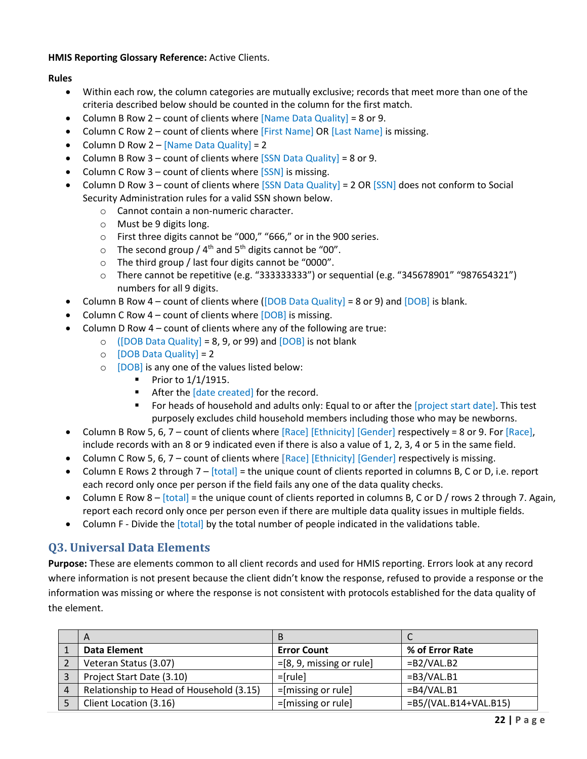#### **HMIS Reporting Glossary Reference:** Active Clients.

#### **Rules**

- Within each row, the column categories are mutually exclusive; records that meet more than one of the criteria described below should be counted in the column for the first match.
- Column B Row 2 count of clients where  $[Name$  Data Quality] = 8 or 9.
- Column C Row 2 count of clients where [First Name] OR [Last Name] is missing.
- Column D Row  $2 -$  [Name Data Quality] = 2
- Column B Row  $3$  count of clients where  $[SSN$  Data Quality] = 8 or 9.
- Column C Row 3 count of clients where  $[SSN]$  is missing.
- Column D Row 3 count of clients where [SSN Data Quality] = 2 OR [SSN] does not conform to Social Security Administration rules for a valid SSN shown below.
	- o Cannot contain a non-numeric character.
	- o Must be 9 digits long.
	- o First three digits cannot be "000," "666," or in the 900 series.
	- $\circ$  The second group / 4<sup>th</sup> and 5<sup>th</sup> digits cannot be "00".
	- o The third group / last four digits cannot be "0000".
	- $\circ$  There cannot be repetitive (e.g. "333333333") or sequential (e.g. "345678901" "987654321") numbers for all 9 digits.
- Column B Row  $4$  count of clients where ([DOB Data Quality] = 8 or 9) and [DOB] is blank.
- Column C Row  $4$  count of clients where  $[DOB]$  is missing.
- Column D Row 4 count of clients where any of the following are true:
	- $\circ$  ([DOB Data Quality] = 8, 9, or 99) and [DOB] is not blank
		- $\circ$  [DOB Data Quality] = 2
		- o [DOB] is any one of the values listed below:
			- $\blacksquare$  Prior to  $1/1/1915$ .
			- After the [date created] for the record.
			- **For heads of household and adults only: Equal to or after the [project start date]. This test** purposely excludes child household members including those who may be newborns.
- Column B Row 5, 6, 7 count of clients where [Race] [Ethnicity] [Gender] respectively = 8 or 9. For [Race], include records with an 8 or 9 indicated even if there is also a value of 1, 2, 3, 4 or 5 in the same field.
- Column C Row 5, 6, 7 count of clients where [Race] [Ethnicity] [Gender] respectively is missing.
- Column E Rows 2 through  $7 [total] =$  the unique count of clients reported in columns B, C or D, i.e. report each record only once per person if the field fails any one of the data quality checks.
- Column E Row  $8 [total] =$  the unique count of clients reported in columns B, C or D / rows 2 through 7. Again, report each record only once per person even if there are multiple data quality issues in multiple fields.
- Column F Divide the [total] by the total number of people indicated in the validations table.

# <span id="page-22-0"></span>**Q3. Universal Data Elements**

**Purpose:** These are elements common to all client records and used for HMIS reporting. Errors look at any record where information is not present because the client didn't know the response, refused to provide a response or the information was missing or where the response is not consistent with protocols established for the data quality of the element.

|                | $\mathsf{A}$                             |                                           |                          |
|----------------|------------------------------------------|-------------------------------------------|--------------------------|
|                | Data Element                             | <b>Error Count</b>                        | % of Error Rate          |
|                | Veteran Status (3.07)                    | $=[8, 9, \text{missing} \text{ or rule}]$ | $=B2/VAL.B2$             |
|                | Project Start Date (3.10)                | $=$ [rule]                                | $=B3/VAL.B1$             |
| $\overline{4}$ | Relationship to Head of Household (3.15) | $=$ [missing or rule]                     | $=B4/VAL.B1$             |
|                | Client Location (3.16)                   | $=[missing or rule]$                      | $=$ B5/(VAL.B14+VAL.B15) |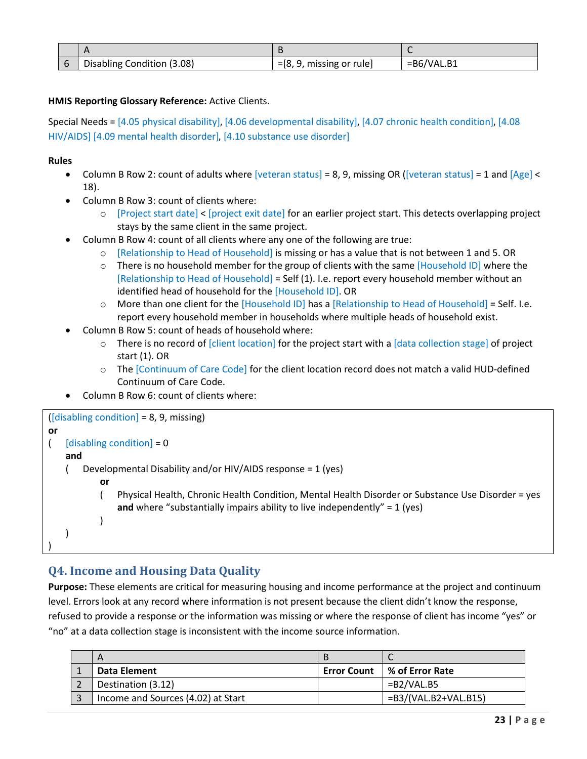| Disabling Condition (3.08) | $=[8, 9, \text{missing} \text{ or rule}]$ | $=B6/VAL.B1$ |
|----------------------------|-------------------------------------------|--------------|

#### **HMIS Reporting Glossary Reference:** Active Clients.

Special Needs = [4.05 physical disability], [4.06 developmental disability], [4.07 chronic health condition], [4.08 HIV/AIDS] [4.09 mental health disorder], [4.10 substance use disorder]

#### **Rules**

- Column B Row 2: count of adults where  $[veteran status] = 8, 9$ , missing OR  $([veteran status] = 1$  and  $[Age] <$ 18).
- Column B Row 3: count of clients where:
	- o [Project start date] < [project exit date] for an earlier project start. This detects overlapping project stays by the same client in the same project.
- Column B Row 4: count of all clients where any one of the following are true:
	- o [Relationship to Head of Household] is missing or has a value that is not between 1 and 5. OR
	- $\circ$  There is no household member for the group of clients with the same [Household ID] where the [Relationship to Head of Household] = Self (1). I.e. report every household member without an identified head of household for the [Household ID]. OR
	- $\circ$  More than one client for the [Household ID] has a [Relationship to Head of Household] = Self. I.e. report every household member in households where multiple heads of household exist.
- Column B Row 5: count of heads of household where:
	- $\circ$  There is no record of [client location] for the project start with a [data collection stage] of project start (1). OR
	- o The [Continuum of Care Code] for the client location record does not match a valid HUD-defined Continuum of Care Code.
- Column B Row 6: count of clients where:

```
\textsf{[disabling condition]} = 8, 9, \textsf{missing}or 
\left( [disabling condition] = 0
    and 
     ( Developmental Disability and/or HIV/AIDS response = 1 (yes) 
             or 
             ( Physical Health, Chronic Health Condition, Mental Health Disorder or Substance Use Disorder = yes 
                 and where "substantially impairs ability to live independently" = 1 (yes)
 ) 
     ) 
)
```
#### <span id="page-23-0"></span>**Q4. Income and Housing Data Quality**

**Purpose:** These elements are critical for measuring housing and income performance at the project and continuum level. Errors look at any record where information is not present because the client didn't know the response, refused to provide a response or the information was missing or where the response of client has income "yes" or "no" at a data collection stage is inconsistent with the income source information.

| A                                  |                    | ∼                        |
|------------------------------------|--------------------|--------------------------|
| Data Element                       | <b>Error Count</b> | ∣% of Error Rate         |
| Destination (3.12)                 |                    | $=B2/VAL.B5$             |
| Income and Sources (4.02) at Start |                    | $=B3/(VAL. B2+VAL. B15)$ |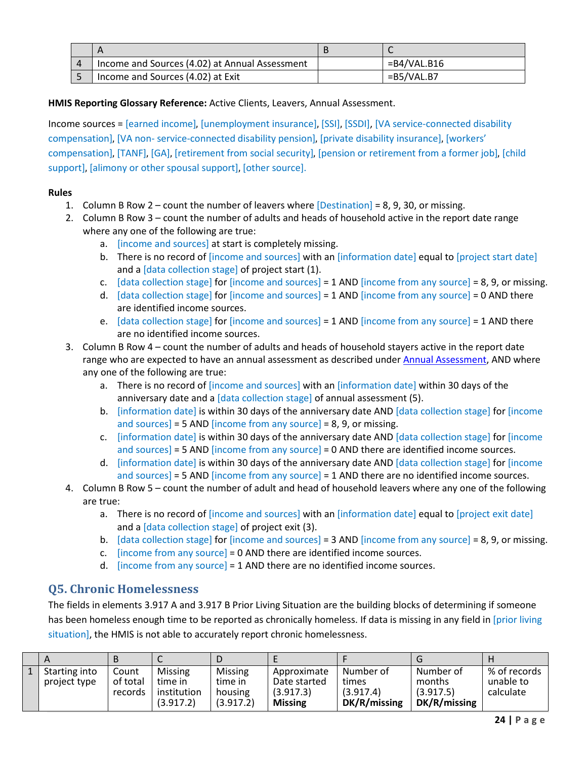| Income and Sources (4.02) at Annual Assessment | =B4/VAL.B16  |
|------------------------------------------------|--------------|
| Income and Sources (4.02) at Exit              | $=B5/VAL.B7$ |

#### **HMIS Reporting Glossary Reference:** Active Clients, Leavers, Annual Assessment.

Income sources = [earned income], [unemployment insurance], [SSI], [SSDI], [VA service-connected disability compensation], [VA non- service-connected disability pension], [private disability insurance], [workers' compensation], [TANF], [GA], [retirement from social security], [pension or retirement from a former job], [child support], [alimony or other spousal support], [other source].

#### **Rules**

- 1. Column B Row 2 count the number of leavers where [Destination] = 8, 9, 30, or missing.
- 2. Column B Row 3 count the number of adults and heads of household active in the report date range where any one of the following are true:
	- a. [income and sources] at start is completely missing.
	- b. There is no record of [income and sources] with an [information date] equal to [project start date] and a [data collection stage] of project start (1).
	- c. [data collection stage] for [income and sources] =  $1$  AND [income from any source] = 8, 9, or missing.
	- d. [data collection stage] for [income and sources] =  $1$  AND [income from any source] =  $0$  AND there are identified income sources.
	- e. [data collection stage] for [income and sources] =  $1$  AND [income from any source] =  $1$  AND there are no identified income sources.
- 3. Column B Row 4 count the number of adults and heads of household stayers active in the report date range who are expected to have an annual assessment as described under [Annual Assessment,](#page-19-0) AND where any one of the following are true:
	- a. There is no record of [income and sources] with an [information date] within 30 days of the anniversary date and a [data collection stage] of annual assessment (5).
	- b. [information date] is within 30 days of the anniversary date AND [data collection stage] for [income and sources] = 5 AND [income from any source] = 8, 9, or missing.
	- c. [information date] is within 30 days of the anniversary date AND [data collection stage] for [income and sources] = 5 AND [income from any source] = 0 AND there are identified income sources.
	- d. [information date] is within 30 days of the anniversary date AND [data collection stage] for [income and sources] = 5 AND [income from any source] = 1 AND there are no identified income sources.
- 4. Column B Row 5 count the number of adult and head of household leavers where any one of the following are true:
	- a. There is no record of [income and sources] with an [information date] equal to [project exit date] and a [data collection stage] of project exit (3).
	- b. [data collection stage] for [income and sources] = 3 AND [income from any source] = 8, 9, or missing.
	- c. [income from any source] =  $0$  AND there are identified income sources.
	- d. [income from any source]  $= 1$  AND there are no identified income sources.

#### <span id="page-24-0"></span>**Q5. Chronic Homelessness**

The fields in elements 3.917 A and 3.917 B Prior Living Situation are the building blocks of determining if someone has been homeless enough time to be reported as chronically homeless. If data is missing in any field in [prior living situation], the HMIS is not able to accurately report chronic homelessness.

| 1   Starting into<br>project type | Count<br>of total<br>records | <b>Missing</b><br>time in<br>institution<br>(3.917.2) | Missing<br>time in<br>housing<br>(3.917.2) | Approximate<br>Date started<br>(3.917.3)<br><b>Missing</b> | Number of<br>times<br>(3.917.4)<br>DK/R/missing | Number of<br>months<br>(3.917.5)<br>DK/R/missing | ∣% of records<br>unable to<br>calculate |
|-----------------------------------|------------------------------|-------------------------------------------------------|--------------------------------------------|------------------------------------------------------------|-------------------------------------------------|--------------------------------------------------|-----------------------------------------|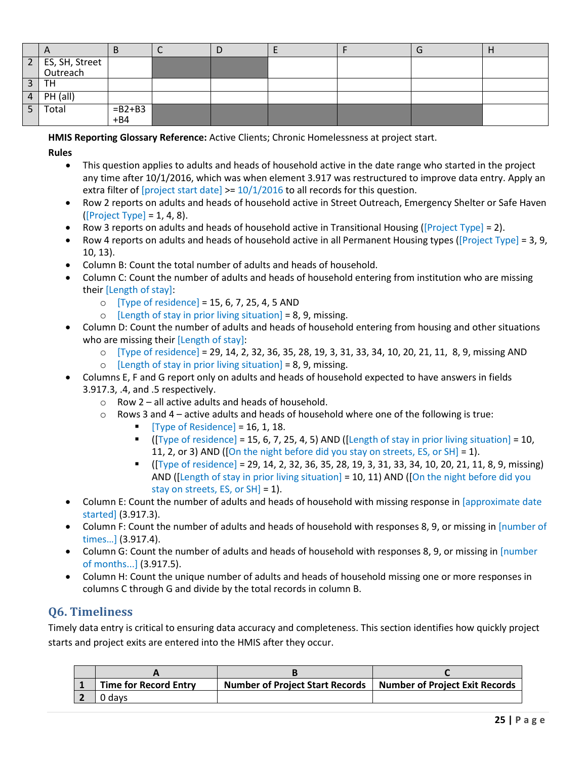|                | $\mathsf{H}$                 | ט                  | IJ |  | u |  |
|----------------|------------------------------|--------------------|----|--|---|--|
|                | 2 ES, SH, Street<br>Outreach |                    |    |  |   |  |
| $\mathbf{z}$   | TН                           |                    |    |  |   |  |
| $4 \mid$       | PH (all)                     |                    |    |  |   |  |
| $\overline{5}$ | Total                        | $= B2 + B3$<br>+B4 |    |  |   |  |

**HMIS Reporting Glossary Reference:** Active Clients; Chronic Homelessness at project start.

#### **Rules**

- This question applies to adults and heads of household active in the date range who started in the project any time after 10/1/2016, which was when element 3.917 was restructured to improve data entry. Apply an extra filter of  $[project start date] >= 10/1/2016$  to all records for this question.
- Row 2 reports on adults and heads of household active in Street Outreach, Emergency Shelter or Safe Haven  $([Project Type] = 1, 4, 8).$
- Row 3 reports on adults and heads of household active in Transitional Housing ([Project Type] = 2).
- Row 4 reports on adults and heads of household active in all Permanent Housing types ([Project Type] = 3, 9, 10, 13).
- Column B: Count the total number of adults and heads of household.
- Column C: Count the number of adults and heads of household entering from institution who are missing their [Length of stay]:
	- $\circ$  [Type of residence] = 15, 6, 7, 25, 4, 5 AND
	- $\circ$  [Length of stay in prior living situation] = 8, 9, missing.
- Column D: Count the number of adults and heads of household entering from housing and other situations who are missing their [Length of stay]:
	- o [Type of residence] = 29, 14, 2, 32, 36, 35, 28, 19, 3, 31, 33, 34, 10, 20, 21, 11, 8, 9, missing AND
	- $\circ$  [Length of stay in prior living situation] = 8, 9, missing.
- Columns E, F and G report only on adults and heads of household expected to have answers in fields 3.917.3, .4, and .5 respectively.
	- $\circ$  Row 2 all active adults and heads of household.
	- $\circ$  Rows 3 and 4 active adults and heads of household where one of the following is true:
		- Type of Residence] =  $16, 1, 18$ .
		- $\blacksquare$  ([Type of residence] = 15, 6, 7, 25, 4, 5) AND ([Length of stay in prior living situation] = 10, 11, 2, or 3) AND ([On the night before did you stay on streets, ES, or SH] = 1).
		- $\blacksquare$  ([Type of residence] = 29, 14, 2, 32, 36, 35, 28, 19, 3, 31, 33, 34, 10, 20, 21, 11, 8, 9, missing) AND ([Length of stay in prior living situation] = 10, 11) AND ([On the night before did you stay on streets, ES, or SH] = 1).
- Column E: Count the number of adults and heads of household with missing response in [approximate date started] (3.917.3).
- Column F: Count the number of adults and heads of household with responses 8, 9, or missing in [number of times…] (3.917.4).
- Column G: Count the number of adults and heads of household with responses 8, 9, or missing in [number of months...] (3.917.5).
- Column H: Count the unique number of adults and heads of household missing one or more responses in columns C through G and divide by the total records in column B.

# <span id="page-25-0"></span>**Q6. Timeliness**

Timely data entry is critical to ensuring data accuracy and completeness. This section identifies how quickly project starts and project exits are entered into the HMIS after they occur.

| <b>Time for Record Entry</b> | <b>Number of Project Start Records</b> | <b>Number of Project Exit Records</b> |
|------------------------------|----------------------------------------|---------------------------------------|
| davs                         |                                        |                                       |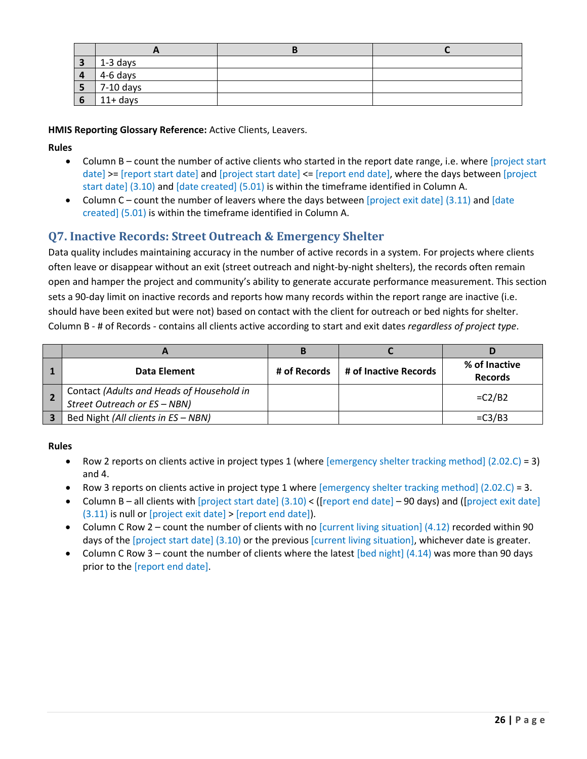| $\mathbf{z}$<br>◡ | $\frac{1}{2}$ 1-3 days |  |
|-------------------|------------------------|--|
| $\mathbf{u}$      | 4-6 days               |  |
| ə                 | 7-10 days              |  |
|                   | $11+$ days             |  |

**HMIS Reporting Glossary Reference:** Active Clients, Leavers.

#### **Rules**

- Column B count the number of active clients who started in the report date range, i.e. where [project start date] >= [report start date] and [project start date] <= [report end date], where the days between [project start date] (3.10) and [date created] (5.01) is within the timeframe identified in Column A.
- Column C count the number of leavers where the days between [project exit date] (3.11) and [date created] (5.01) is within the timeframe identified in Column A.

## <span id="page-26-0"></span>**Q7. Inactive Records: Street Outreach & Emergency Shelter**

Data quality includes maintaining accuracy in the number of active records in a system. For projects where clients often leave or disappear without an exit (street outreach and night-by-night shelters), the records often remain open and hamper the project and community's ability to generate accurate performance measurement. This section sets a 90-day limit on inactive records and reports how many records within the report range are inactive (i.e. should have been exited but were not) based on contact with the client for outreach or bed nights for shelter. Column B - # of Records - contains all clients active according to start and exit dates *regardless of project type*.

|                                                                           | В            |                       |                                 |
|---------------------------------------------------------------------------|--------------|-----------------------|---------------------------------|
| Data Element                                                              | # of Records | # of Inactive Records | % of Inactive<br><b>Records</b> |
| Contact (Adults and Heads of Household in<br>Street Outreach or ES - NBN) |              |                       | $=C2/B2$                        |
| Bed Night (All clients in ES - NBN)                                       |              |                       | $=C3/B3$                        |

#### **Rules**

- Row 2 reports on clients active in project types 1 (where [emergency shelter tracking method] (2.02.C) = 3) and 4.
- Row 3 reports on clients active in project type 1 where [emergency shelter tracking method] (2.02.C) = 3.
- Column B all clients with [project start date]  $(3.10) < ($  [report end date] 90 days) and ([project exit date] (3.11) is null or [project exit date] > [report end date]).
- Column C Row 2 count the number of clients with no  $[current living situation] (4.12)$  recorded within 90 days of the [project start date] (3.10) or the previous [current living situation], whichever date is greater.
- Column C Row 3 count the number of clients where the latest [bed night]  $(4.14)$  was more than 90 days prior to the [report end date].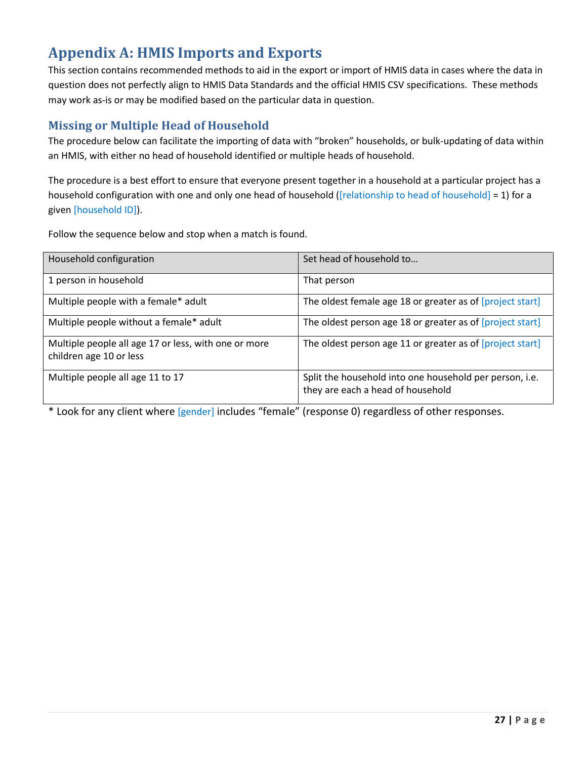# <span id="page-27-0"></span>**Appendix A: HMIS Imports and Exports**

This section contains recommended methods to aid in the export or import of HMIS data in cases where the data in question does not perfectly align to HMIS Data Standards and the official HMIS CSV specifications. These methods may work as-is or may be modified based on the particular data in question.

## <span id="page-27-1"></span>**Missing or Multiple Head of Household**

The procedure below can facilitate the importing of data with "broken" households, or bulk-updating of data within an HMIS, with either no head of household identified or multiple heads of household.

The procedure is a best effort to ensure that everyone present together in a household at a particular project has a household configuration with one and only one head of household ([relationship to head of household] = 1) for a given [household ID]).

Follow the sequence below and stop when a match is found.

| Household configuration                                                         | Set head of household to                                                                     |
|---------------------------------------------------------------------------------|----------------------------------------------------------------------------------------------|
| 1 person in household                                                           | That person                                                                                  |
| Multiple people with a female* adult                                            | The oldest female age 18 or greater as of [project start]                                    |
| Multiple people without a female* adult                                         | The oldest person age 18 or greater as of [project start]                                    |
| Multiple people all age 17 or less, with one or more<br>children age 10 or less | The oldest person age 11 or greater as of [project start]                                    |
| Multiple people all age 11 to 17                                                | Split the household into one household per person, i.e.<br>they are each a head of household |

\* Look for any client where [gender] includes "female" (response 0) regardless of other responses.